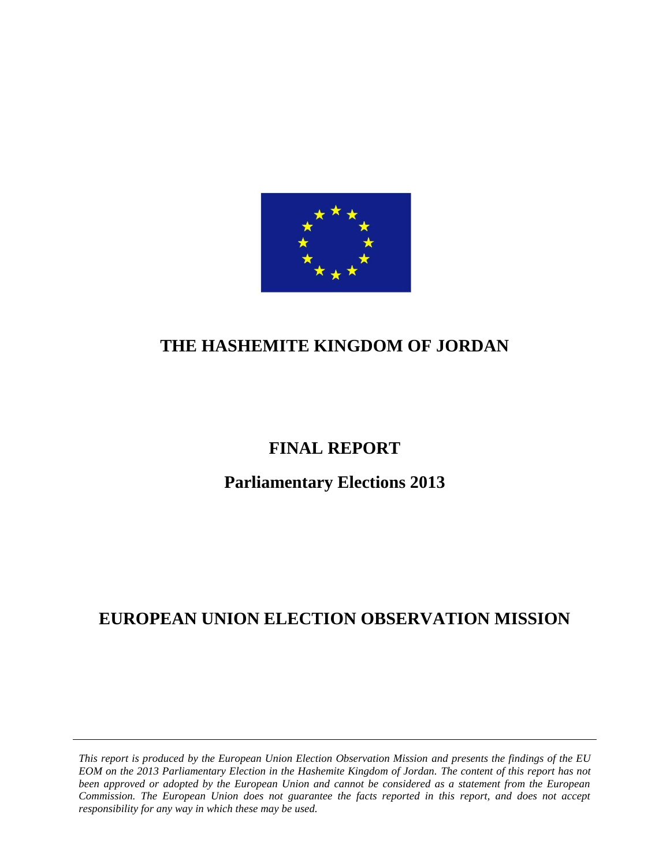

# **THE HASHEMITE KINGDOM OF JORDAN**

# **FINAL REPORT**

# **Parliamentary Elections 2013**

# **EUROPEAN UNION ELECTION OBSERVATION MISSION**

*This report is produced by the European Union Election Observation Mission and presents the findings of the EU EOM on the 2013 Parliamentary Election in the Hashemite Kingdom of Jordan. The content of this report has not been approved or adopted by the European Union and cannot be considered as a statement from the European Commission. The European Union does not guarantee the facts reported in this report, and does not accept responsibility for any way in which these may be used.*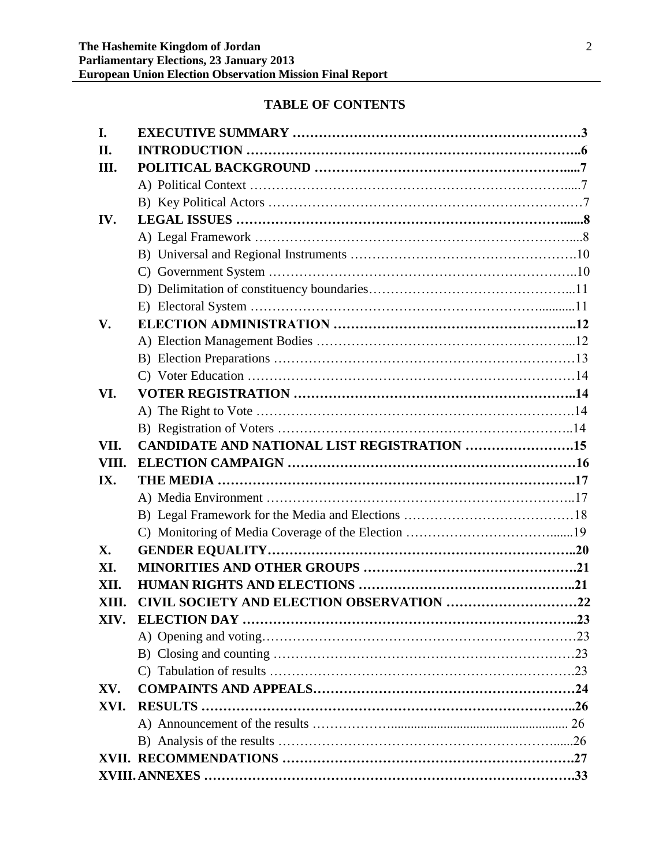# **TABLE OF CONTENTS**

| I.    |                                                    |  |
|-------|----------------------------------------------------|--|
| П.    |                                                    |  |
| III.  |                                                    |  |
|       |                                                    |  |
|       |                                                    |  |
| IV.   |                                                    |  |
|       |                                                    |  |
|       |                                                    |  |
|       |                                                    |  |
|       |                                                    |  |
|       |                                                    |  |
| V.    |                                                    |  |
|       |                                                    |  |
|       |                                                    |  |
|       |                                                    |  |
| VI.   |                                                    |  |
|       |                                                    |  |
|       |                                                    |  |
| VII.  | <b>CANDIDATE AND NATIONAL LIST REGISTRATION 15</b> |  |
| VIII. |                                                    |  |
| IX.   |                                                    |  |
|       |                                                    |  |
|       |                                                    |  |
|       |                                                    |  |
| X.    |                                                    |  |
| XI.   |                                                    |  |
| XII.  |                                                    |  |
| XIII. | CIVIL SOCIETY AND ELECTION OBSERVATION 22          |  |
|       |                                                    |  |
|       |                                                    |  |
|       |                                                    |  |
|       |                                                    |  |
| XV.   |                                                    |  |
| XVI.  |                                                    |  |
|       |                                                    |  |
|       |                                                    |  |
|       |                                                    |  |
|       |                                                    |  |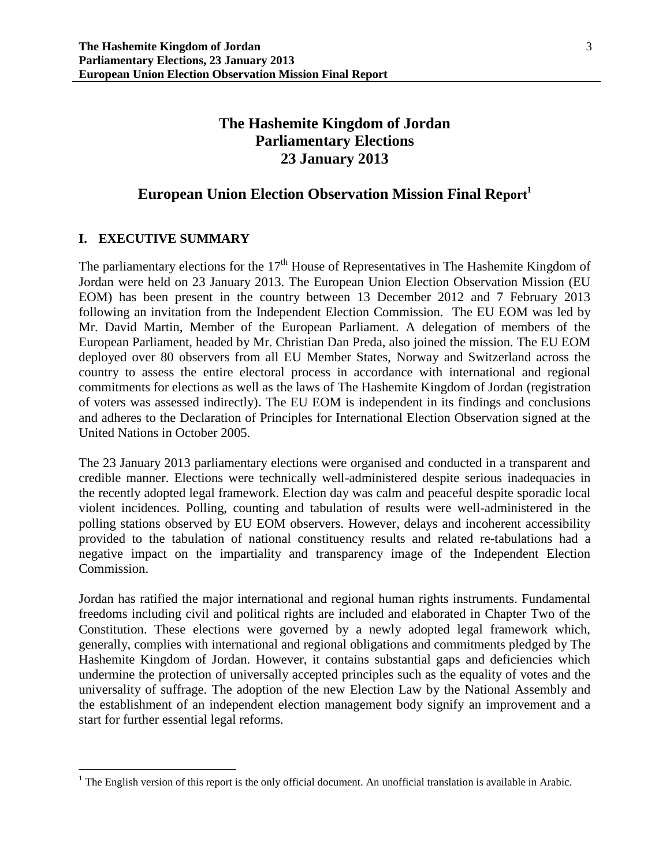# **The Hashemite Kingdom of Jordan Parliamentary Elections 23 January 2013**

# **European Union Election Observation Mission Final Report<sup>1</sup>**

## **I. EXECUTIVE SUMMARY**

 $\overline{\phantom{a}}$ 

The parliamentary elections for the  $17<sup>th</sup>$  House of Representatives in The Hashemite Kingdom of Jordan were held on 23 January 2013. The European Union Election Observation Mission (EU EOM) has been present in the country between 13 December 2012 and 7 February 2013 following an invitation from the Independent Election Commission. The EU EOM was led by Mr. David Martin, Member of the European Parliament. A delegation of members of the European Parliament, headed by Mr. Christian Dan Preda, also joined the mission. The EU EOM deployed over 80 observers from all EU Member States, Norway and Switzerland across the country to assess the entire electoral process in accordance with international and regional commitments for elections as well as the laws of The Hashemite Kingdom of Jordan (registration of voters was assessed indirectly). The EU EOM is independent in its findings and conclusions and adheres to the Declaration of Principles for International Election Observation signed at the United Nations in October 2005.

The 23 January 2013 parliamentary elections were organised and conducted in a transparent and credible manner. Elections were technically well-administered despite serious inadequacies in the recently adopted legal framework. Election day was calm and peaceful despite sporadic local violent incidences. Polling, counting and tabulation of results were well-administered in the polling stations observed by EU EOM observers. However, delays and incoherent accessibility provided to the tabulation of national constituency results and related re-tabulations had a negative impact on the impartiality and transparency image of the Independent Election Commission.

Jordan has ratified the major international and regional human rights instruments. Fundamental freedoms including civil and political rights are included and elaborated in Chapter Two of the Constitution. These elections were governed by a newly adopted legal framework which, generally, complies with international and regional obligations and commitments pledged by The Hashemite Kingdom of Jordan. However, it contains substantial gaps and deficiencies which undermine the protection of universally accepted principles such as the equality of votes and the universality of suffrage. The adoption of the new Election Law by the National Assembly and the establishment of an independent election management body signify an improvement and a start for further essential legal reforms.

 $1$  The English version of this report is the only official document. An unofficial translation is available in Arabic.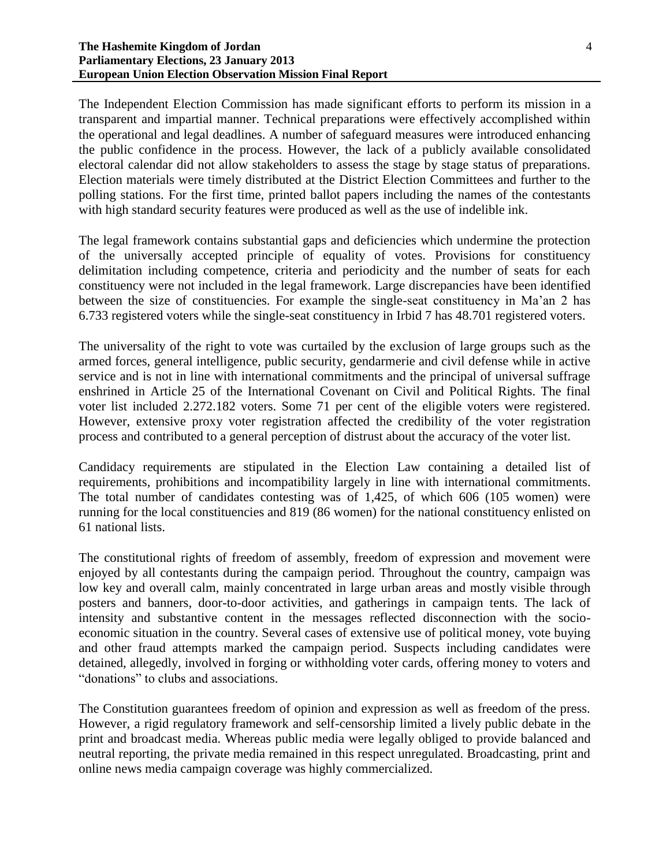#### **The Hashemite Kingdom of Jordan Parliamentary Elections, 23 January 2013 European Union Election Observation Mission Final Report**

The Independent Election Commission has made significant efforts to perform its mission in a transparent and impartial manner. Technical preparations were effectively accomplished within the operational and legal deadlines. A number of safeguard measures were introduced enhancing the public confidence in the process. However, the lack of a publicly available consolidated electoral calendar did not allow stakeholders to assess the stage by stage status of preparations. Election materials were timely distributed at the District Election Committees and further to the polling stations. For the first time, printed ballot papers including the names of the contestants with high standard security features were produced as well as the use of indelible ink.

The legal framework contains substantial gaps and deficiencies which undermine the protection of the universally accepted principle of equality of votes. Provisions for constituency delimitation including competence, criteria and periodicity and the number of seats for each constituency were not included in the legal framework. Large discrepancies have been identified between the size of constituencies. For example the single-seat constituency in Ma'an 2 has 6.733 registered voters while the single-seat constituency in Irbid 7 has 48.701 registered voters.

The universality of the right to vote was curtailed by the exclusion of large groups such as the armed forces, general intelligence, public security, gendarmerie and civil defense while in active service and is not in line with international commitments and the principal of universal suffrage enshrined in Article 25 of the International Covenant on Civil and Political Rights. The final voter list included 2.272.182 voters. Some 71 per cent of the eligible voters were registered. However, extensive proxy voter registration affected the credibility of the voter registration process and contributed to a general perception of distrust about the accuracy of the voter list.

Candidacy requirements are stipulated in the Election Law containing a detailed list of requirements, prohibitions and incompatibility largely in line with international commitments. The total number of candidates contesting was of 1,425, of which 606 (105 women) were running for the local constituencies and 819 (86 women) for the national constituency enlisted on 61 national lists.

The constitutional rights of freedom of assembly, freedom of expression and movement were enjoyed by all contestants during the campaign period. Throughout the country, campaign was low key and overall calm, mainly concentrated in large urban areas and mostly visible through posters and banners, door-to-door activities, and gatherings in campaign tents. The lack of intensity and substantive content in the messages reflected disconnection with the socioeconomic situation in the country. Several cases of extensive use of political money, vote buying and other fraud attempts marked the campaign period. Suspects including candidates were detained, allegedly, involved in forging or withholding voter cards, offering money to voters and "donations" to clubs and associations.

The Constitution guarantees freedom of opinion and expression as well as freedom of the press. However, a rigid regulatory framework and self-censorship limited a lively public debate in the print and broadcast media. Whereas public media were legally obliged to provide balanced and neutral reporting, the private media remained in this respect unregulated. Broadcasting, print and online news media campaign coverage was highly commercialized.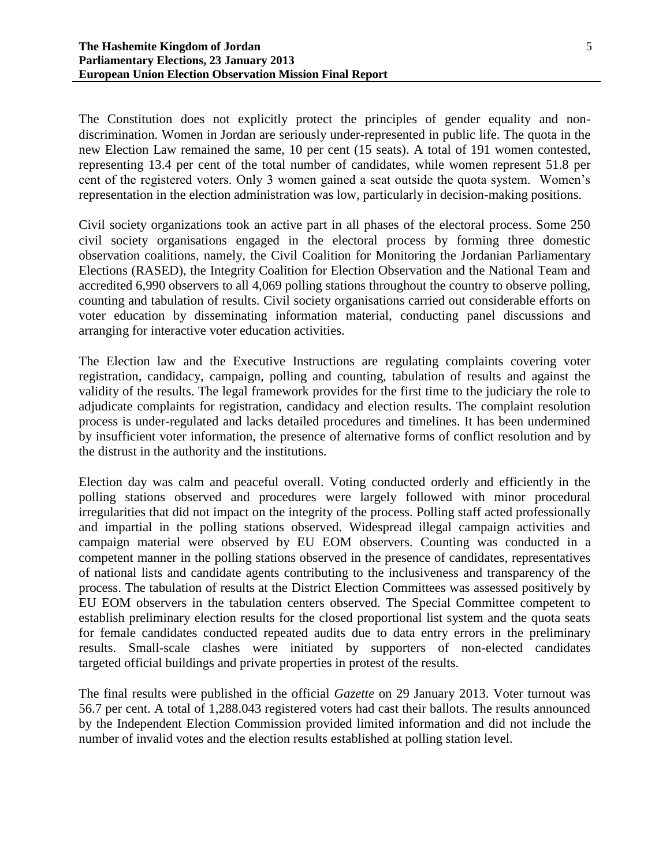The Constitution does not explicitly protect the principles of gender equality and nondiscrimination. Women in Jordan are seriously under-represented in public life. The quota in the new Election Law remained the same, 10 per cent (15 seats). A total of 191 women contested, representing 13.4 per cent of the total number of candidates, while women represent 51.8 per cent of the registered voters. Only 3 women gained a seat outside the quota system. Women's representation in the election administration was low, particularly in decision-making positions.

Civil society organizations took an active part in all phases of the electoral process. Some 250 civil society organisations engaged in the electoral process by forming three domestic observation coalitions, namely, the Civil Coalition for Monitoring the Jordanian Parliamentary Elections (RASED), the Integrity Coalition for Election Observation and the National Team and accredited 6,990 observers to all 4,069 polling stations throughout the country to observe polling, counting and tabulation of results. Civil society organisations carried out considerable efforts on voter education by disseminating information material, conducting panel discussions and arranging for interactive voter education activities.

The Election law and the Executive Instructions are regulating complaints covering voter registration, candidacy, campaign, polling and counting, tabulation of results and against the validity of the results. The legal framework provides for the first time to the judiciary the role to adjudicate complaints for registration, candidacy and election results. The complaint resolution process is under-regulated and lacks detailed procedures and timelines. It has been undermined by insufficient voter information, the presence of alternative forms of conflict resolution and by the distrust in the authority and the institutions.

Election day was calm and peaceful overall. Voting conducted orderly and efficiently in the polling stations observed and procedures were largely followed with minor procedural irregularities that did not impact on the integrity of the process. Polling staff acted professionally and impartial in the polling stations observed. Widespread illegal campaign activities and campaign material were observed by EU EOM observers. Counting was conducted in a competent manner in the polling stations observed in the presence of candidates, representatives of national lists and candidate agents contributing to the inclusiveness and transparency of the process. The tabulation of results at the District Election Committees was assessed positively by EU EOM observers in the tabulation centers observed. The Special Committee competent to establish preliminary election results for the closed proportional list system and the quota seats for female candidates conducted repeated audits due to data entry errors in the preliminary results. Small-scale clashes were initiated by supporters of non-elected candidates targeted official buildings and private properties in protest of the results.

The final results were published in the official *Gazette* on 29 January 2013. Voter turnout was 56.7 per cent. A total of 1,288.043 registered voters had cast their ballots. The results announced by the Independent Election Commission provided limited information and did not include the number of invalid votes and the election results established at polling station level.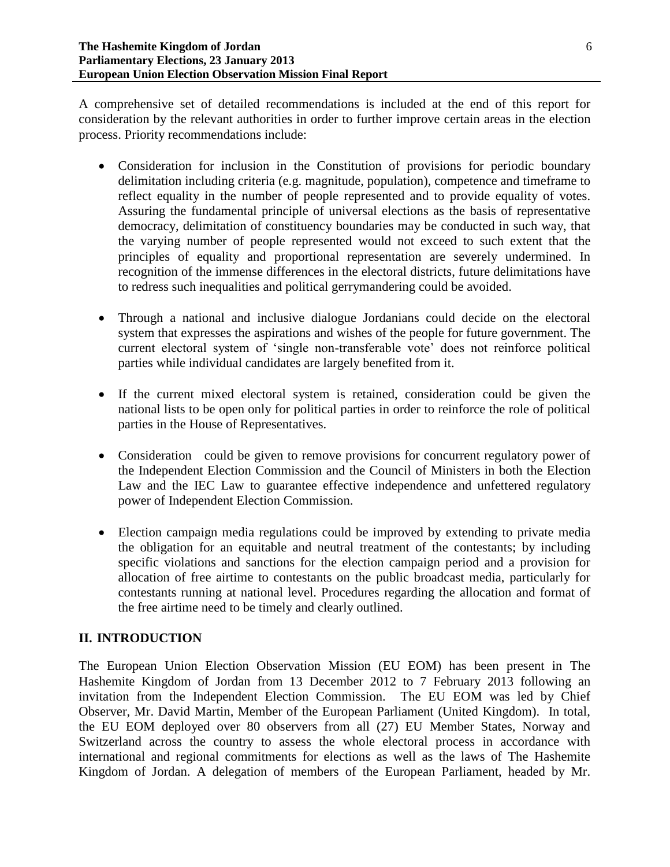A comprehensive set of detailed recommendations is included at the end of this report for consideration by the relevant authorities in order to further improve certain areas in the election process. Priority recommendations include:

- Consideration for inclusion in the Constitution of provisions for periodic boundary delimitation including criteria (e.g. magnitude, population), competence and timeframe to reflect equality in the number of people represented and to provide equality of votes. Assuring the fundamental principle of universal elections as the basis of representative democracy, delimitation of constituency boundaries may be conducted in such way, that the varying number of people represented would not exceed to such extent that the principles of equality and proportional representation are severely undermined. In recognition of the immense differences in the electoral districts, future delimitations have to redress such inequalities and political gerrymandering could be avoided.
- Through a national and inclusive dialogue Jordanians could decide on the electoral system that expresses the aspirations and wishes of the people for future government. The current electoral system of 'single non-transferable vote' does not reinforce political parties while individual candidates are largely benefited from it.
- If the current mixed electoral system is retained, consideration could be given the national lists to be open only for political parties in order to reinforce the role of political parties in the House of Representatives.
- Consideration could be given to remove provisions for concurrent regulatory power of the Independent Election Commission and the Council of Ministers in both the Election Law and the IEC Law to guarantee effective independence and unfettered regulatory power of Independent Election Commission.
- Election campaign media regulations could be improved by extending to private media the obligation for an equitable and neutral treatment of the contestants; by including specific violations and sanctions for the election campaign period and a provision for allocation of free airtime to contestants on the public broadcast media, particularly for contestants running at national level. Procedures regarding the allocation and format of the free airtime need to be timely and clearly outlined.

# **II. INTRODUCTION**

The European Union Election Observation Mission (EU EOM) has been present in The Hashemite Kingdom of Jordan from 13 December 2012 to 7 February 2013 following an invitation from the Independent Election Commission. The EU EOM was led by Chief Observer, Mr. David Martin, Member of the European Parliament (United Kingdom). In total, the EU EOM deployed over 80 observers from all (27) EU Member States, Norway and Switzerland across the country to assess the whole electoral process in accordance with international and regional commitments for elections as well as the laws of The Hashemite Kingdom of Jordan. A delegation of members of the European Parliament, headed by Mr.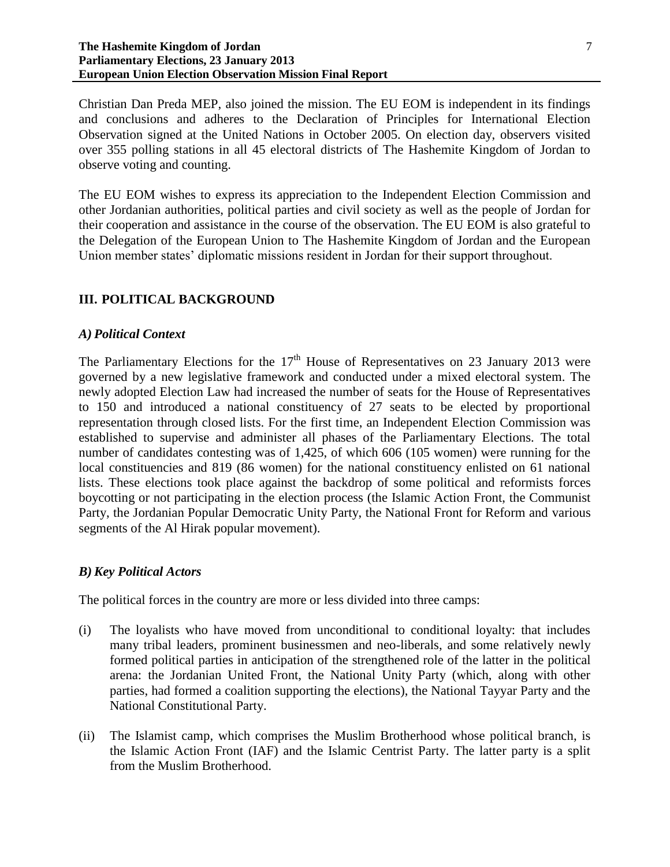#### **The Hashemite Kingdom of Jordan Parliamentary Elections, 23 January 2013 European Union Election Observation Mission Final Report**

Christian Dan Preda MEP, also joined the mission. The EU EOM is independent in its findings and conclusions and adheres to the Declaration of Principles for International Election Observation signed at the United Nations in October 2005. On election day, observers visited over 355 polling stations in all 45 electoral districts of The Hashemite Kingdom of Jordan to observe voting and counting.

The EU EOM wishes to express its appreciation to the Independent Election Commission and other Jordanian authorities, political parties and civil society as well as the people of Jordan for their cooperation and assistance in the course of the observation. The EU EOM is also grateful to the Delegation of the European Union to The Hashemite Kingdom of Jordan and the European Union member states' diplomatic missions resident in Jordan for their support throughout.

#### **III. POLITICAL BACKGROUND**

#### *A) Political Context*

The Parliamentary Elections for the  $17<sup>th</sup>$  House of Representatives on 23 January 2013 were governed by a new legislative framework and conducted under a mixed electoral system. The newly adopted Election Law had increased the number of seats for the House of Representatives to 150 and introduced a national constituency of 27 seats to be elected by proportional representation through closed lists. For the first time, an Independent Election Commission was established to supervise and administer all phases of the Parliamentary Elections. The total number of candidates contesting was of 1,425, of which 606 (105 women) were running for the local constituencies and 819 (86 women) for the national constituency enlisted on 61 national lists. These elections took place against the backdrop of some political and reformists forces boycotting or not participating in the election process (the Islamic Action Front, the Communist Party, the Jordanian Popular Democratic Unity Party, the National Front for Reform and various segments of the Al Hirak popular movement).

#### *B) Key Political Actors*

The political forces in the country are more or less divided into three camps:

- (i) The loyalists who have moved from unconditional to conditional loyalty: that includes many tribal leaders, prominent businessmen and neo-liberals, and some relatively newly formed political parties in anticipation of the strengthened role of the latter in the political arena: the Jordanian United Front, the National Unity Party (which, along with other parties, had formed a coalition supporting the elections), the National Tayyar Party and the National Constitutional Party.
- (ii) The Islamist camp, which comprises the Muslim Brotherhood whose political branch, is the Islamic Action Front (IAF) and the Islamic Centrist Party. The latter party is a split from the Muslim Brotherhood.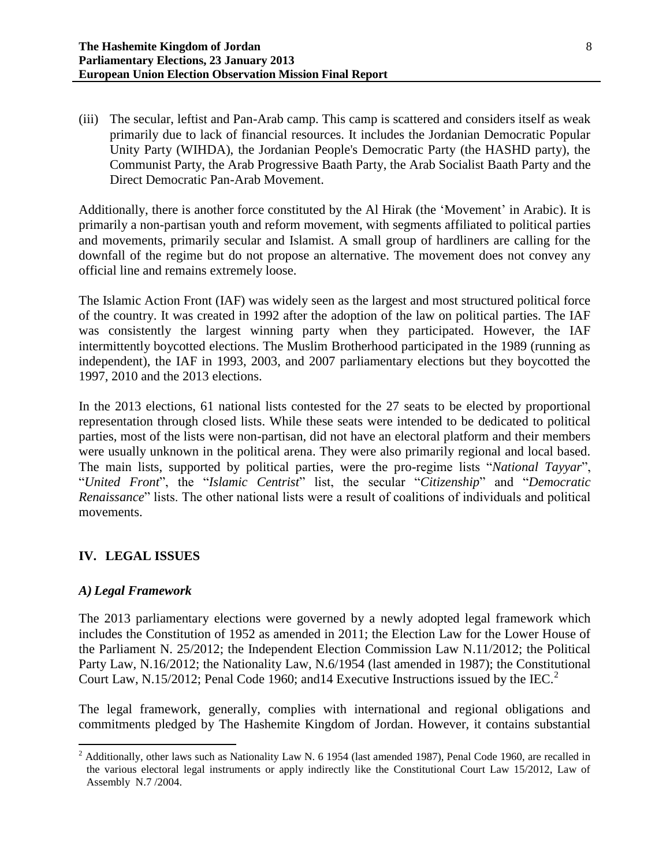(iii) The secular, leftist and Pan-Arab camp. This camp is scattered and considers itself as weak primarily due to lack of financial resources. It includes the Jordanian Democratic Popular Unity Party (WIHDA), the Jordanian People's Democratic Party (the HASHD party), the Communist Party, the Arab Progressive Baath Party, the Arab Socialist Baath Party and the Direct Democratic Pan-Arab Movement.

Additionally, there is another force constituted by the Al Hirak (the 'Movement' in Arabic). It is primarily a non-partisan youth and reform movement, with segments affiliated to political parties and movements, primarily secular and Islamist. A small group of hardliners are calling for the downfall of the regime but do not propose an alternative. The movement does not convey any official line and remains extremely loose.

The Islamic Action Front (IAF) was widely seen as the largest and most structured political force of the country. It was created in 1992 after the adoption of the law on political parties. The IAF was consistently the largest winning party when they participated. However, the IAF intermittently boycotted elections. The Muslim Brotherhood participated in the 1989 (running as independent), the IAF in 1993, 2003, and 2007 parliamentary elections but they boycotted the 1997, 2010 and the 2013 elections.

In the 2013 elections, 61 national lists contested for the 27 seats to be elected by proportional representation through closed lists. While these seats were intended to be dedicated to political parties, most of the lists were non-partisan, did not have an electoral platform and their members were usually unknown in the political arena. They were also primarily regional and local based. The main lists, supported by political parties, were the pro-regime lists "*National Tayyar*", "*United Front*", the "*Islamic Centrist*" list, the secular "*Citizenship*" and "*Democratic Renaissance*" lists. The other national lists were a result of coalitions of individuals and political movements.

# **IV. LEGAL ISSUES**

# *A) Legal Framework*

The 2013 parliamentary elections were governed by a newly adopted legal framework which includes the Constitution of 1952 as amended in 2011; the Election Law for the Lower House of the Parliament N. 25/2012; the Independent Election Commission Law N.11/2012; the Political Party Law, N.16/2012; the Nationality Law, N.6/1954 (last amended in 1987); the Constitutional Court Law, N.15/2012; Penal Code 1960; and 14 Executive Instructions issued by the IEC.<sup>2</sup>

The legal framework, generally, complies with international and regional obligations and commitments pledged by The Hashemite Kingdom of Jordan. However, it contains substantial

 $\overline{\phantom{a}}$  $2$  Additionally, other laws such as Nationality Law N. 6 1954 (last amended 1987), Penal Code 1960, are recalled in the various electoral legal instruments or apply indirectly like the Constitutional Court Law 15/2012, Law of Assembly N.7 /2004.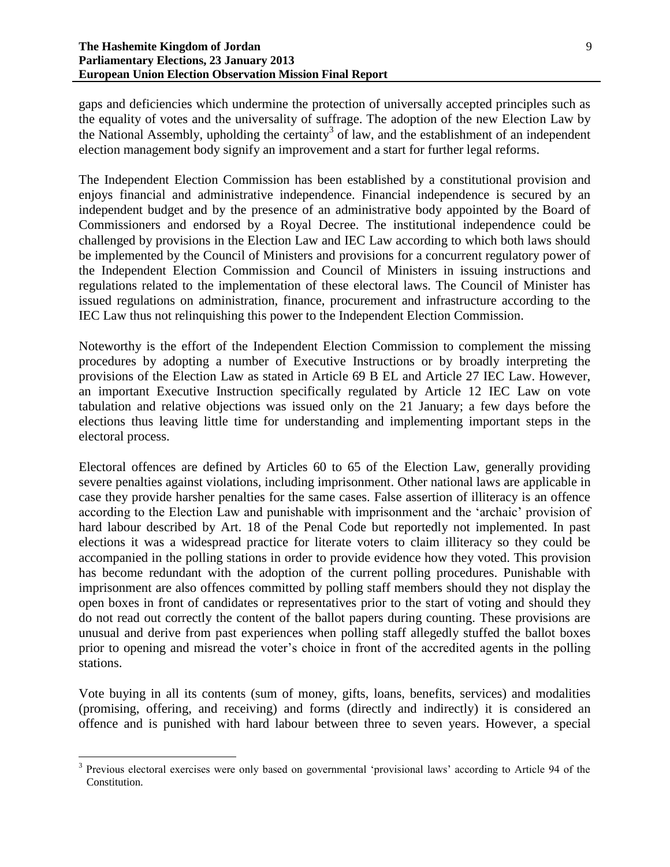gaps and deficiencies which undermine the protection of universally accepted principles such as the equality of votes and the universality of suffrage. The adoption of the new Election Law by the National Assembly, upholding the certainty<sup>3</sup> of law, and the establishment of an independent election management body signify an improvement and a start for further legal reforms.

The Independent Election Commission has been established by a constitutional provision and enjoys financial and administrative independence. Financial independence is secured by an independent budget and by the presence of an administrative body appointed by the Board of Commissioners and endorsed by a Royal Decree. The institutional independence could be challenged by provisions in the Election Law and IEC Law according to which both laws should be implemented by the Council of Ministers and provisions for a concurrent regulatory power of the Independent Election Commission and Council of Ministers in issuing instructions and regulations related to the implementation of these electoral laws. The Council of Minister has issued regulations on administration, finance, procurement and infrastructure according to the IEC Law thus not relinquishing this power to the Independent Election Commission.

Noteworthy is the effort of the Independent Election Commission to complement the missing procedures by adopting a number of Executive Instructions or by broadly interpreting the provisions of the Election Law as stated in Article 69 B EL and Article 27 IEC Law. However, an important Executive Instruction specifically regulated by Article 12 IEC Law on vote tabulation and relative objections was issued only on the 21 January; a few days before the elections thus leaving little time for understanding and implementing important steps in the electoral process.

Electoral offences are defined by Articles 60 to 65 of the Election Law, generally providing severe penalties against violations, including imprisonment. Other national laws are applicable in case they provide harsher penalties for the same cases. False assertion of illiteracy is an offence according to the Election Law and punishable with imprisonment and the 'archaic' provision of hard labour described by Art. 18 of the Penal Code but reportedly not implemented. In past elections it was a widespread practice for literate voters to claim illiteracy so they could be accompanied in the polling stations in order to provide evidence how they voted. This provision has become redundant with the adoption of the current polling procedures. Punishable with imprisonment are also offences committed by polling staff members should they not display the open boxes in front of candidates or representatives prior to the start of voting and should they do not read out correctly the content of the ballot papers during counting. These provisions are unusual and derive from past experiences when polling staff allegedly stuffed the ballot boxes prior to opening and misread the voter's choice in front of the accredited agents in the polling stations.

Vote buying in all its contents (sum of money, gifts, loans, benefits, services) and modalities (promising, offering, and receiving) and forms (directly and indirectly) it is considered an offence and is punished with hard labour between three to seven years. However, a special

 $\overline{\phantom{a}}$ 

<sup>&</sup>lt;sup>3</sup> Previous electoral exercises were only based on governmental 'provisional laws' according to Article 94 of the Constitution.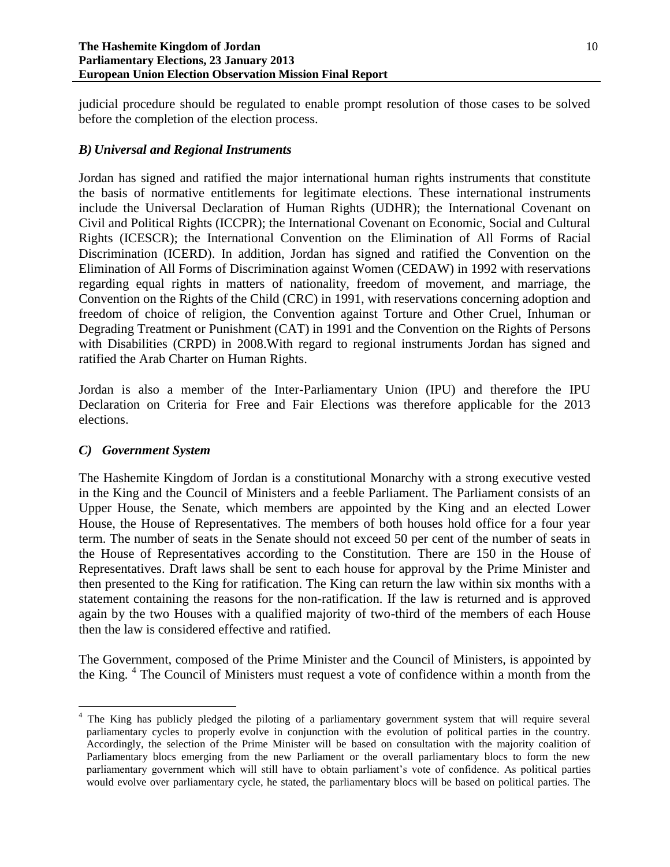judicial procedure should be regulated to enable prompt resolution of those cases to be solved before the completion of the election process.

# *B) Universal and Regional Instruments*

Jordan has signed and ratified the major international human rights instruments that constitute the basis of normative entitlements for legitimate elections. These international instruments include the Universal Declaration of Human Rights (UDHR); the International Covenant on Civil and Political Rights (ICCPR); the International Covenant on Economic, Social and Cultural Rights (ICESCR); the International Convention on the Elimination of All Forms of Racial Discrimination (ICERD). In addition, Jordan has signed and ratified the Convention on the Elimination of All Forms of Discrimination against Women (CEDAW) in 1992 with reservations regarding equal rights in matters of nationality, freedom of movement, and marriage, the Convention on the Rights of the Child (CRC) in 1991, with reservations concerning adoption and freedom of choice of religion, the Convention against Torture and Other Cruel, Inhuman or Degrading Treatment or Punishment (CAT) in 1991 and the Convention on the Rights of Persons with Disabilities (CRPD) in 2008.With regard to regional instruments Jordan has signed and ratified the Arab Charter on Human Rights.

Jordan is also a member of the Inter-Parliamentary Union (IPU) and therefore the IPU Declaration on Criteria for Free and Fair Elections was therefore applicable for the 2013 elections.

## *C) Government System*

The Hashemite Kingdom of Jordan is a constitutional Monarchy with a strong executive vested in the King and the Council of Ministers and a feeble Parliament. The Parliament consists of an Upper House, the Senate, which members are appointed by the King and an elected Lower House, the House of Representatives. The members of both houses hold office for a four year term. The number of seats in the Senate should not exceed 50 per cent of the number of seats in the House of Representatives according to the Constitution. There are 150 in the House of Representatives. Draft laws shall be sent to each house for approval by the Prime Minister and then presented to the King for ratification. The King can return the law within six months with a statement containing the reasons for the non-ratification. If the law is returned and is approved again by the two Houses with a qualified majority of two-third of the members of each House then the law is considered effective and ratified.

The Government, composed of the Prime Minister and the Council of Ministers, is appointed by the King. <sup>4</sup> The Council of Ministers must request a vote of confidence within a month from the

l <sup>4</sup> The King has publicly pledged the piloting of a parliamentary government system that will require several parliamentary cycles to properly evolve in conjunction with the evolution of political parties in the country. Accordingly, the selection of the Prime Minister will be based on consultation with the majority coalition of Parliamentary blocs emerging from the new Parliament or the overall parliamentary blocs to form the new parliamentary government which will still have to obtain parliament's vote of confidence. As political parties would evolve over parliamentary cycle, he stated, the parliamentary blocs will be based on political parties. The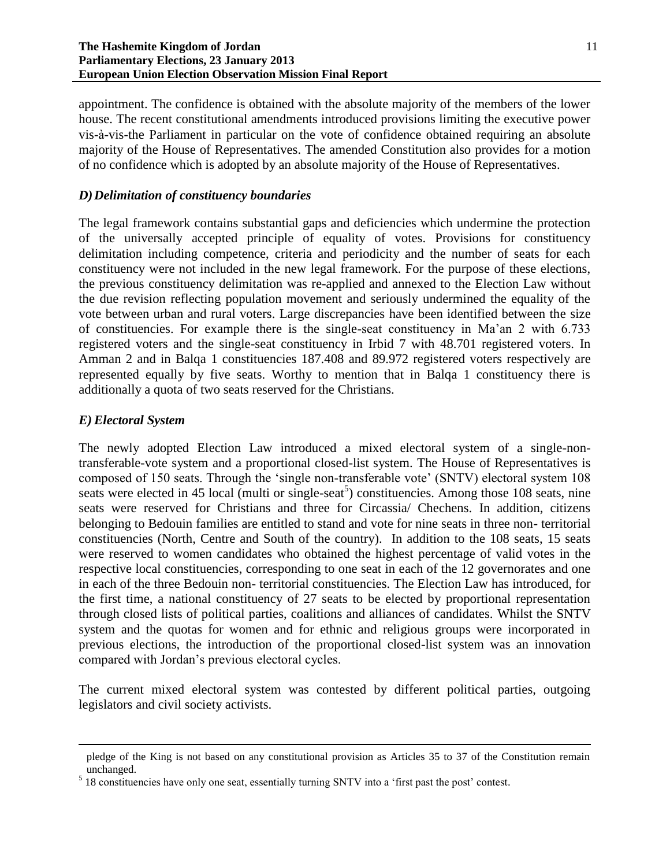appointment. The confidence is obtained with the absolute majority of the members of the lower house. The recent constitutional amendments introduced provisions limiting the executive power vis-à-vis-the Parliament in particular on the vote of confidence obtained requiring an absolute majority of the House of Representatives. The amended Constitution also provides for a motion of no confidence which is adopted by an absolute majority of the House of Representatives.

## *D)Delimitation of constituency boundaries*

The legal framework contains substantial gaps and deficiencies which undermine the protection of the universally accepted principle of equality of votes. Provisions for constituency delimitation including competence, criteria and periodicity and the number of seats for each constituency were not included in the new legal framework. For the purpose of these elections, the previous constituency delimitation was re-applied and annexed to the Election Law without the due revision reflecting population movement and seriously undermined the equality of the vote between urban and rural voters. Large discrepancies have been identified between the size of constituencies. For example there is the single-seat constituency in Ma'an 2 with 6.733 registered voters and the single-seat constituency in Irbid 7 with 48.701 registered voters. In Amman 2 and in Balqa 1 constituencies 187.408 and 89.972 registered voters respectively are represented equally by five seats. Worthy to mention that in Balqa 1 constituency there is additionally a quota of two seats reserved for the Christians.

## *E) Electoral System*

 $\overline{\phantom{a}}$ 

The newly adopted Election Law introduced a mixed electoral system of a single-nontransferable-vote system and a proportional closed-list system. The House of Representatives is composed of 150 seats. Through the 'single non-transferable vote' (SNTV) electoral system 108 seats were elected in 45 local (multi or single-seat<sup>5</sup>) constituencies. Among those 108 seats, nine seats were reserved for Christians and three for Circassia/ Chechens. In addition, citizens belonging to Bedouin families are entitled to stand and vote for nine seats in three non- territorial constituencies (North, Centre and South of the country). In addition to the 108 seats, 15 seats were reserved to women candidates who obtained the highest percentage of valid votes in the respective local constituencies, corresponding to one seat in each of the 12 governorates and one in each of the three Bedouin non- territorial constituencies. The Election Law has introduced, for the first time, a national constituency of 27 seats to be elected by proportional representation through closed lists of political parties, coalitions and alliances of candidates. Whilst the SNTV system and the quotas for women and for ethnic and religious groups were incorporated in previous elections, the introduction of the proportional closed-list system was an innovation compared with Jordan's previous electoral cycles.

The current mixed electoral system was contested by different political parties, outgoing legislators and civil society activists.

pledge of the King is not based on any constitutional provision as Articles 35 to 37 of the Constitution remain unchanged.

<sup>&</sup>lt;sup>5</sup> 18 constituencies have only one seat, essentially turning SNTV into a 'first past the post' contest.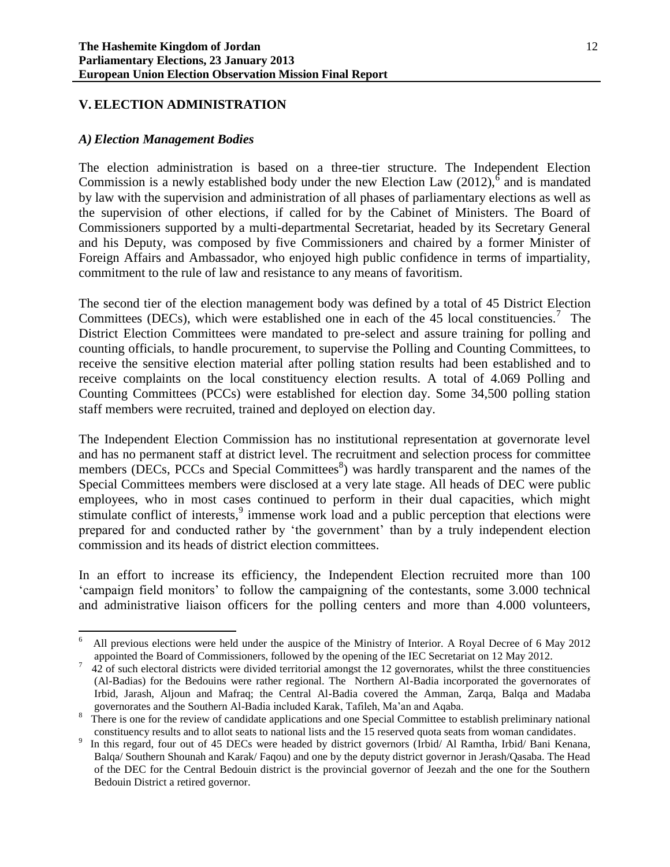# **V. ELECTION ADMINISTRATION**

### *A) Election Management Bodies*

The election administration is based on a three-tier structure. The Independent Election Commission is a newly established body under the new Election Law  $(2012)$ ,  $\delta$  and is mandated by law with the supervision and administration of all phases of parliamentary elections as well as the supervision of other elections, if called for by the Cabinet of Ministers. The Board of Commissioners supported by a multi-departmental Secretariat, headed by its Secretary General and his Deputy, was composed by five Commissioners and chaired by a former Minister of Foreign Affairs and Ambassador, who enjoyed high public confidence in terms of impartiality, commitment to the rule of law and resistance to any means of favoritism.

The second tier of the election management body was defined by a total of 45 District Election Committees (DECs), which were established one in each of the 45 local constituencies.<sup>7</sup> The District Election Committees were mandated to pre-select and assure training for polling and counting officials, to handle procurement, to supervise the Polling and Counting Committees, to receive the sensitive election material after polling station results had been established and to receive complaints on the local constituency election results. A total of 4.069 Polling and Counting Committees (PCCs) were established for election day. Some 34,500 polling station staff members were recruited, trained and deployed on election day.

The Independent Election Commission has no institutional representation at governorate level and has no permanent staff at district level. The recruitment and selection process for committee members (DECs, PCCs and Special Committees<sup>8</sup>) was hardly transparent and the names of the Special Committees members were disclosed at a very late stage. All heads of DEC were public employees, who in most cases continued to perform in their dual capacities, which might stimulate conflict of interests,<sup>9</sup> immense work load and a public perception that elections were prepared for and conducted rather by 'the government' than by a truly independent election commission and its heads of district election committees.

In an effort to increase its efficiency, the Independent Election recruited more than 100 'campaign field monitors' to follow the campaigning of the contestants, some 3.000 technical and administrative liaison officers for the polling centers and more than 4.000 volunteers,

 $\frac{1}{6}$  All previous elections were held under the auspice of the Ministry of Interior. A Royal Decree of 6 May 2012 appointed the Board of Commissioners, followed by the opening of the IEC Secretariat on 12 May 2012.

<sup>7</sup> 42 of such electoral districts were divided territorial amongst the 12 governorates, whilst the three constituencies (Al-Badias) for the Bedouins were rather regional. The Northern Al-Badia incorporated the governorates of Irbid, Jarash, Aljoun and Mafraq; the Central Al-Badia covered the Amman, Zarqa, Balqa and Madaba governorates and the Southern Al-Badia included Karak, Tafileh, Ma'an and Aqaba.

<sup>8</sup> There is one for the review of candidate applications and one Special Committee to establish preliminary national constituency results and to allot seats to national lists and the 15 reserved quota seats from woman candidates.

<sup>9</sup> In this regard, four out of 45 DECs were headed by district governors (Irbid/ Al Ramtha, Irbid/ Bani Kenana, Balqa/ Southern Shounah and Karak/ Faqou) and one by the deputy district governor in Jerash/Qasaba. The Head of the DEC for the Central Bedouin district is the provincial governor of Jeezah and the one for the Southern Bedouin District a retired governor.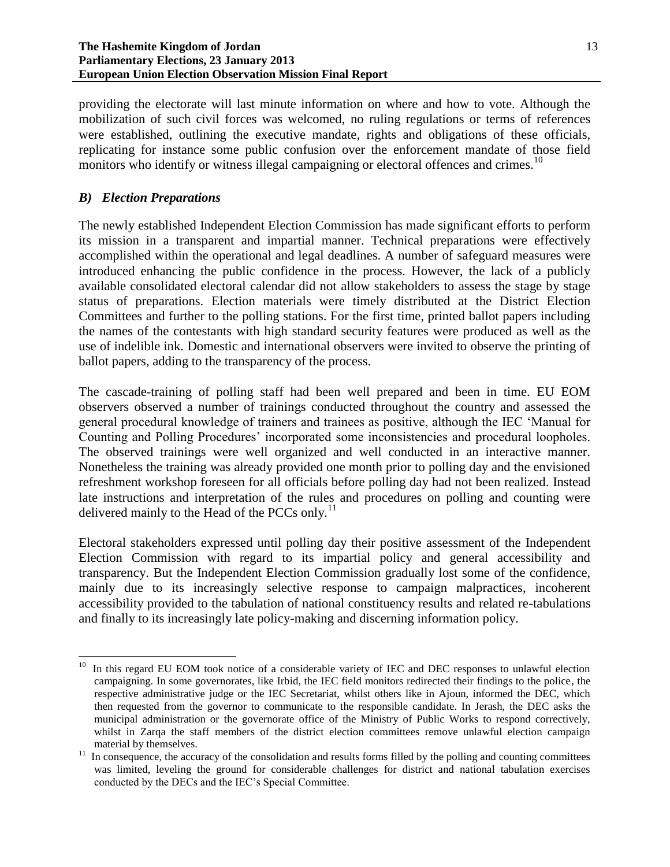providing the electorate will last minute information on where and how to vote. Although the mobilization of such civil forces was welcomed, no ruling regulations or terms of references were established, outlining the executive mandate, rights and obligations of these officials, replicating for instance some public confusion over the enforcement mandate of those field monitors who identify or witness illegal campaigning or electoral offences and crimes.<sup>10</sup>

# *B) Election Preparations*

The newly established Independent Election Commission has made significant efforts to perform its mission in a transparent and impartial manner. Technical preparations were effectively accomplished within the operational and legal deadlines. A number of safeguard measures were introduced enhancing the public confidence in the process. However, the lack of a publicly available consolidated electoral calendar did not allow stakeholders to assess the stage by stage status of preparations. Election materials were timely distributed at the District Election Committees and further to the polling stations. For the first time, printed ballot papers including the names of the contestants with high standard security features were produced as well as the use of indelible ink. Domestic and international observers were invited to observe the printing of ballot papers, adding to the transparency of the process.

The cascade-training of polling staff had been well prepared and been in time. EU EOM observers observed a number of trainings conducted throughout the country and assessed the general procedural knowledge of trainers and trainees as positive, although the IEC 'Manual for Counting and Polling Procedures' incorporated some inconsistencies and procedural loopholes. The observed trainings were well organized and well conducted in an interactive manner. Nonetheless the training was already provided one month prior to polling day and the envisioned refreshment workshop foreseen for all officials before polling day had not been realized. Instead late instructions and interpretation of the rules and procedures on polling and counting were delivered mainly to the Head of the PCCs only. $^{11}$ 

Electoral stakeholders expressed until polling day their positive assessment of the Independent Election Commission with regard to its impartial policy and general accessibility and transparency. But the Independent Election Commission gradually lost some of the confidence, mainly due to its increasingly selective response to campaign malpractices, incoherent accessibility provided to the tabulation of national constituency results and related re-tabulations and finally to its increasingly late policy-making and discerning information policy.

 $\overline{\phantom{a}}$ In this regard EU EOM took notice of a considerable variety of IEC and DEC responses to unlawful election campaigning. In some governorates, like Irbid, the IEC field monitors redirected their findings to the police, the respective administrative judge or the IEC Secretariat, whilst others like in Ajoun, informed the DEC, which then requested from the governor to communicate to the responsible candidate. In Jerash, the DEC asks the municipal administration or the governorate office of the Ministry of Public Works to respond correctively, whilst in Zarqa the staff members of the district election committees remove unlawful election campaign material by themselves.

 $11$  In consequence, the accuracy of the consolidation and results forms filled by the polling and counting committees was limited, leveling the ground for considerable challenges for district and national tabulation exercises conducted by the DECs and the IEC's Special Committee.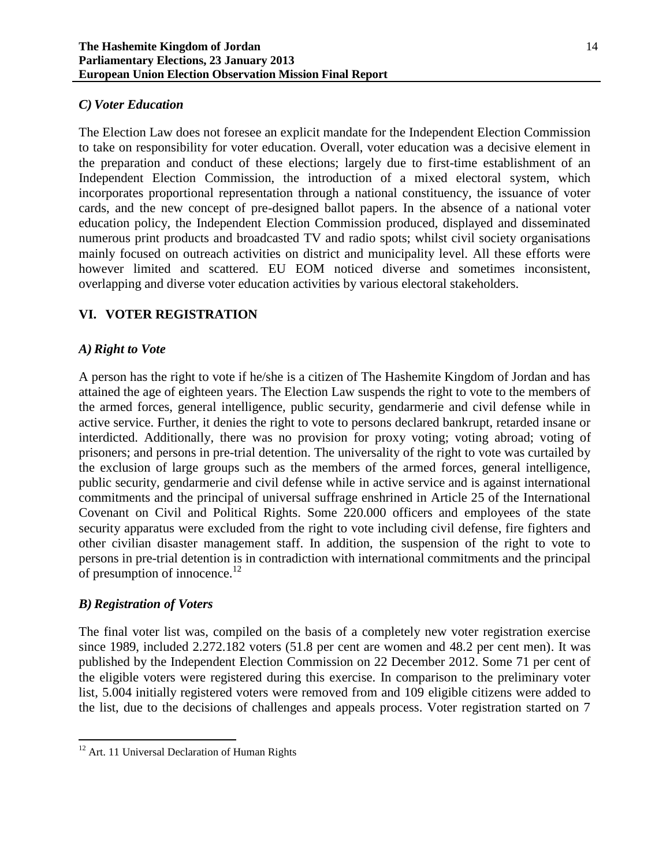# *C) Voter Education*

The Election Law does not foresee an explicit mandate for the Independent Election Commission to take on responsibility for voter education. Overall, voter education was a decisive element in the preparation and conduct of these elections; largely due to first-time establishment of an Independent Election Commission, the introduction of a mixed electoral system, which incorporates proportional representation through a national constituency, the issuance of voter cards, and the new concept of pre-designed ballot papers. In the absence of a national voter education policy, the Independent Election Commission produced, displayed and disseminated numerous print products and broadcasted TV and radio spots; whilst civil society organisations mainly focused on outreach activities on district and municipality level. All these efforts were however limited and scattered. EU EOM noticed diverse and sometimes inconsistent, overlapping and diverse voter education activities by various electoral stakeholders.

# **VI. VOTER REGISTRATION**

# *A) Right to Vote*

A person has the right to vote if he/she is a citizen of The Hashemite Kingdom of Jordan and has attained the age of eighteen years. The Election Law suspends the right to vote to the members of the armed forces, general intelligence, public security, gendarmerie and civil defense while in active service. Further, it denies the right to vote to persons declared bankrupt, retarded insane or interdicted. Additionally, there was no provision for proxy voting; voting abroad; voting of prisoners; and persons in pre-trial detention. The universality of the right to vote was curtailed by the exclusion of large groups such as the members of the armed forces, general intelligence, public security, gendarmerie and civil defense while in active service and is against international commitments and the principal of universal suffrage enshrined in Article 25 of the International Covenant on Civil and Political Rights. Some 220.000 officers and employees of the state security apparatus were excluded from the right to vote including civil defense, fire fighters and other civilian disaster management staff. In addition, the suspension of the right to vote to persons in pre-trial detention is in contradiction with international commitments and the principal of presumption of innocence.<sup>12</sup>

## *B) Registration of Voters*

The final voter list was, compiled on the basis of a completely new voter registration exercise since 1989, included 2.272.182 voters (51.8 per cent are women and 48.2 per cent men). It was published by the Independent Election Commission on 22 December 2012. Some 71 per cent of the eligible voters were registered during this exercise. In comparison to the preliminary voter list, 5.004 initially registered voters were removed from and 109 eligible citizens were added to the list, due to the decisions of challenges and appeals process. Voter registration started on 7

 $\overline{a}$ <sup>12</sup> Art. 11 Universal Declaration of Human Rights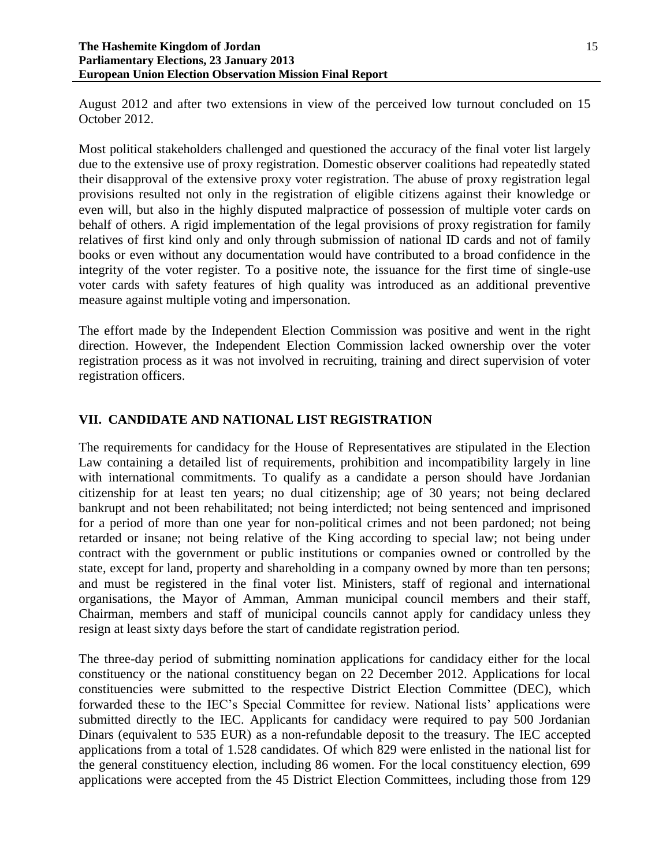August 2012 and after two extensions in view of the perceived low turnout concluded on 15 October 2012.

Most political stakeholders challenged and questioned the accuracy of the final voter list largely due to the extensive use of proxy registration. Domestic observer coalitions had repeatedly stated their disapproval of the extensive proxy voter registration. The abuse of proxy registration legal provisions resulted not only in the registration of eligible citizens against their knowledge or even will, but also in the highly disputed malpractice of possession of multiple voter cards on behalf of others. A rigid implementation of the legal provisions of proxy registration for family relatives of first kind only and only through submission of national ID cards and not of family books or even without any documentation would have contributed to a broad confidence in the integrity of the voter register. To a positive note, the issuance for the first time of single-use voter cards with safety features of high quality was introduced as an additional preventive measure against multiple voting and impersonation.

The effort made by the Independent Election Commission was positive and went in the right direction. However, the Independent Election Commission lacked ownership over the voter registration process as it was not involved in recruiting, training and direct supervision of voter registration officers.

# **VII. CANDIDATE AND NATIONAL LIST REGISTRATION**

The requirements for candidacy for the House of Representatives are stipulated in the Election Law containing a detailed list of requirements, prohibition and incompatibility largely in line with international commitments. To qualify as a candidate a person should have Jordanian citizenship for at least ten years; no dual citizenship; age of 30 years; not being declared bankrupt and not been rehabilitated; not being interdicted; not being sentenced and imprisoned for a period of more than one year for non-political crimes and not been pardoned; not being retarded or insane; not being relative of the King according to special law; not being under contract with the government or public institutions or companies owned or controlled by the state, except for land, property and shareholding in a company owned by more than ten persons; and must be registered in the final voter list. Ministers, staff of regional and international organisations, the Mayor of Amman, Amman municipal council members and their staff, Chairman, members and staff of municipal councils cannot apply for candidacy unless they resign at least sixty days before the start of candidate registration period.

The three-day period of submitting nomination applications for candidacy either for the local constituency or the national constituency began on 22 December 2012. Applications for local constituencies were submitted to the respective District Election Committee (DEC), which forwarded these to the IEC's Special Committee for review. National lists' applications were submitted directly to the IEC. Applicants for candidacy were required to pay 500 Jordanian Dinars (equivalent to 535 EUR) as a non-refundable deposit to the treasury. The IEC accepted applications from a total of 1.528 candidates. Of which 829 were enlisted in the national list for the general constituency election, including 86 women. For the local constituency election, 699 applications were accepted from the 45 District Election Committees, including those from 129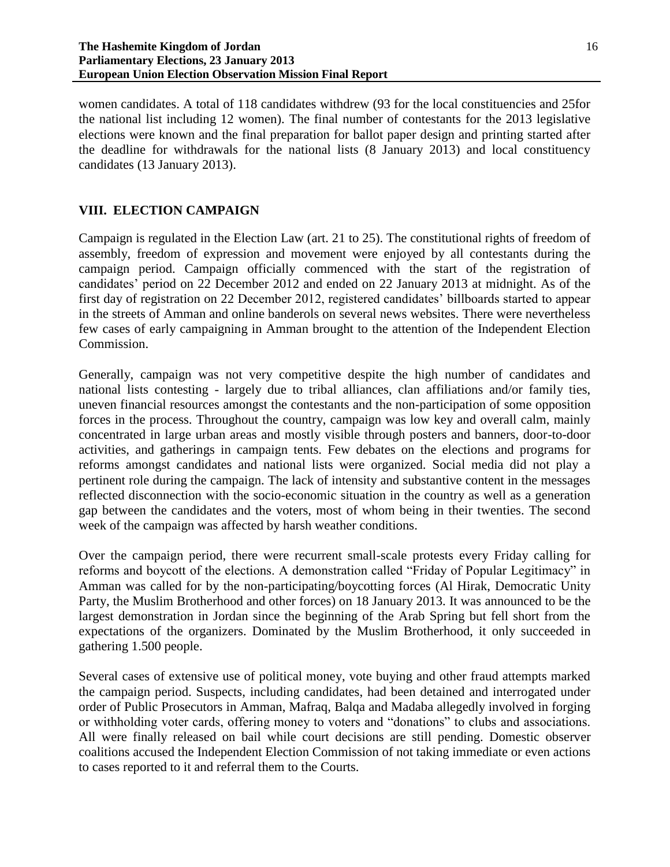#### **The Hashemite Kingdom of Jordan Parliamentary Elections, 23 January 2013 European Union Election Observation Mission Final Report**

women candidates. A total of 118 candidates withdrew (93 for the local constituencies and 25for the national list including 12 women). The final number of contestants for the 2013 legislative elections were known and the final preparation for ballot paper design and printing started after the deadline for withdrawals for the national lists (8 January 2013) and local constituency candidates (13 January 2013).

# **VIII. ELECTION CAMPAIGN**

Campaign is regulated in the Election Law (art. 21 to 25). The constitutional rights of freedom of assembly, freedom of expression and movement were enjoyed by all contestants during the campaign period. Campaign officially commenced with the start of the registration of candidates' period on 22 December 2012 and ended on 22 January 2013 at midnight. As of the first day of registration on 22 December 2012, registered candidates' billboards started to appear in the streets of Amman and online banderols on several news websites. There were nevertheless few cases of early campaigning in Amman brought to the attention of the Independent Election Commission.

Generally, campaign was not very competitive despite the high number of candidates and national lists contesting - largely due to tribal alliances, clan affiliations and/or family ties, uneven financial resources amongst the contestants and the non-participation of some opposition forces in the process. Throughout the country, campaign was low key and overall calm, mainly concentrated in large urban areas and mostly visible through posters and banners, door-to-door activities, and gatherings in campaign tents. Few debates on the elections and programs for reforms amongst candidates and national lists were organized. Social media did not play a pertinent role during the campaign. The lack of intensity and substantive content in the messages reflected disconnection with the socio-economic situation in the country as well as a generation gap between the candidates and the voters, most of whom being in their twenties. The second week of the campaign was affected by harsh weather conditions.

Over the campaign period, there were recurrent small-scale protests every Friday calling for reforms and boycott of the elections. A demonstration called "Friday of Popular Legitimacy" in Amman was called for by the non-participating/boycotting forces (Al Hirak, Democratic Unity Party, the Muslim Brotherhood and other forces) on 18 January 2013. It was announced to be the largest demonstration in Jordan since the beginning of the Arab Spring but fell short from the expectations of the organizers. Dominated by the Muslim Brotherhood, it only succeeded in gathering 1.500 people.

Several cases of extensive use of political money, vote buying and other fraud attempts marked the campaign period. Suspects, including candidates, had been detained and interrogated under order of Public Prosecutors in Amman, Mafraq, Balqa and Madaba allegedly involved in forging or withholding voter cards, offering money to voters and "donations" to clubs and associations. All were finally released on bail while court decisions are still pending. Domestic observer coalitions accused the Independent Election Commission of not taking immediate or even actions to cases reported to it and referral them to the Courts.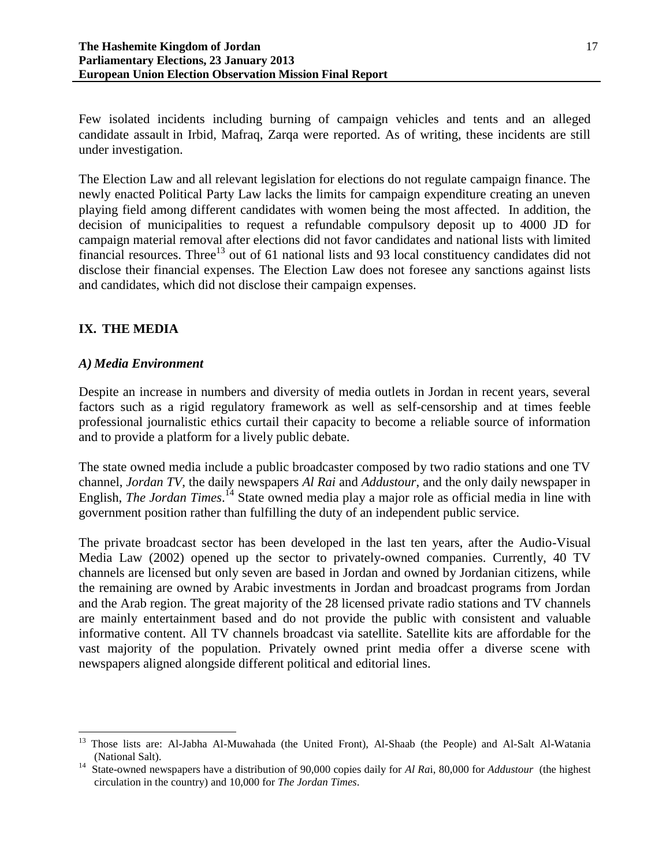Few isolated incidents including burning of campaign vehicles and tents and an alleged candidate assault in Irbid, Mafraq, Zarqa were reported. As of writing, these incidents are still under investigation.

The Election Law and all relevant legislation for elections do not regulate campaign finance. The newly enacted Political Party Law lacks the limits for campaign expenditure creating an uneven playing field among different candidates with women being the most affected. In addition, the decision of municipalities to request a refundable compulsory deposit up to 4000 JD for campaign material removal after elections did not favor candidates and national lists with limited financial resources. Three<sup>13</sup> out of 61 national lists and 93 local constituency candidates did not disclose their financial expenses. The Election Law does not foresee any sanctions against lists and candidates, which did not disclose their campaign expenses.

# **IX. THE MEDIA**

 $\overline{\phantom{a}}$ 

## *A) Media Environment*

Despite an increase in numbers and diversity of media outlets in Jordan in recent years, several factors such as a rigid regulatory framework as well as self-censorship and at times feeble professional journalistic ethics curtail their capacity to become a reliable source of information and to provide a platform for a lively public debate.

The state owned media include a public broadcaster composed by two radio stations and one TV channel, *Jordan TV*, the daily newspapers *Al Rai* and *Addustour*, and the only daily newspaper in English, *The Jordan Times*.<sup>14</sup> State owned media play a major role as official media in line with government position rather than fulfilling the duty of an independent public service.

The private broadcast sector has been developed in the last ten years, after the Audio-Visual Media Law (2002) opened up the sector to privately-owned companies. Currently, 40 TV channels are licensed but only seven are based in Jordan and owned by Jordanian citizens, while the remaining are owned by Arabic investments in Jordan and broadcast programs from Jordan and the Arab region. The great majority of the 28 licensed private radio stations and TV channels are mainly entertainment based and do not provide the public with consistent and valuable informative content. All TV channels broadcast via satellite. Satellite kits are affordable for the vast majority of the population. Privately owned print media offer a diverse scene with newspapers aligned alongside different political and editorial lines.

<sup>13</sup> Those lists are: Al-Jabha Al-Muwahada (the United Front), Al-Shaab (the People) and Al-Salt Al-Watania (National Salt).

<sup>14</sup> State-owned newspapers have a distribution of 90,000 copies daily for *Al Ra*i, 80,000 for *Addustour* (the highest circulation in the country) and 10,000 for *The Jordan Times*.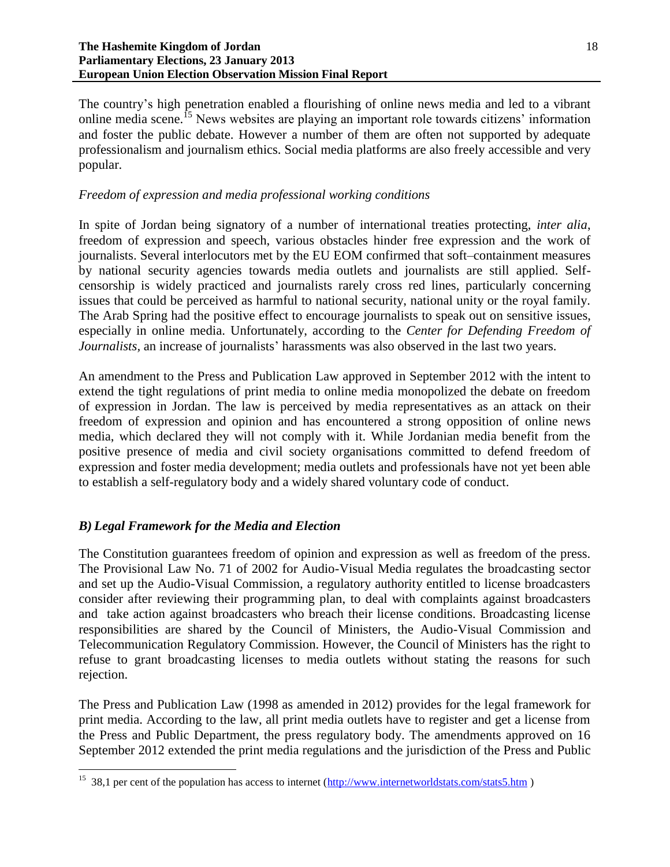#### **The Hashemite Kingdom of Jordan Parliamentary Elections, 23 January 2013 European Union Election Observation Mission Final Report**

The country's high penetration enabled a flourishing of online news media and led to a vibrant online media scene.<sup>15</sup> News websites are playing an important role towards citizens' information and foster the public debate. However a number of them are often not supported by adequate professionalism and journalism ethics. Social media platforms are also freely accessible and very popular.

# *Freedom of expression and media professional working conditions*

In spite of Jordan being signatory of a number of international treaties protecting, *inter alia*, freedom of expression and speech, various obstacles hinder free expression and the work of journalists. Several interlocutors met by the EU EOM confirmed that soft–containment measures by national security agencies towards media outlets and journalists are still applied. Selfcensorship is widely practiced and journalists rarely cross red lines, particularly concerning issues that could be perceived as harmful to national security, national unity or the royal family. The Arab Spring had the positive effect to encourage journalists to speak out on sensitive issues, especially in online media. Unfortunately, according to the *Center for Defending Freedom of Journalists,* an increase of journalists' harassments was also observed in the last two years.

An amendment to the Press and Publication Law approved in September 2012 with the intent to extend the tight regulations of print media to online media monopolized the debate on freedom of expression in Jordan. The law is perceived by media representatives as an attack on their freedom of expression and opinion and has encountered a strong opposition of online news media, which declared they will not comply with it. While Jordanian media benefit from the positive presence of media and civil society organisations committed to defend freedom of expression and foster media development; media outlets and professionals have not yet been able to establish a self-regulatory body and a widely shared voluntary code of conduct.

# *B) Legal Framework for the Media and Election*

 $\overline{\phantom{a}}$ 

The Constitution guarantees freedom of opinion and expression as well as freedom of the press. The Provisional Law No. 71 of 2002 for Audio-Visual Media regulates the broadcasting sector and set up the Audio-Visual Commission, a regulatory authority entitled to license broadcasters consider after reviewing their programming plan, to deal with complaints against broadcasters and take action against broadcasters who breach their license conditions. Broadcasting license responsibilities are shared by the Council of Ministers, the Audio-Visual Commission and Telecommunication Regulatory Commission. However, the Council of Ministers has the right to refuse to grant broadcasting licenses to media outlets without stating the reasons for such rejection.

The Press and Publication Law (1998 as amended in 2012) provides for the legal framework for print media. According to the law, all print media outlets have to register and get a license from the Press and Public Department, the press regulatory body. The amendments approved on 16 September 2012 extended the print media regulations and the jurisdiction of the Press and Public

<sup>&</sup>lt;sup>15</sup> 38,1 per cent of the population has access to internet ( $\frac{http://www.internetworldstats.com/stats5.htm}{}$ )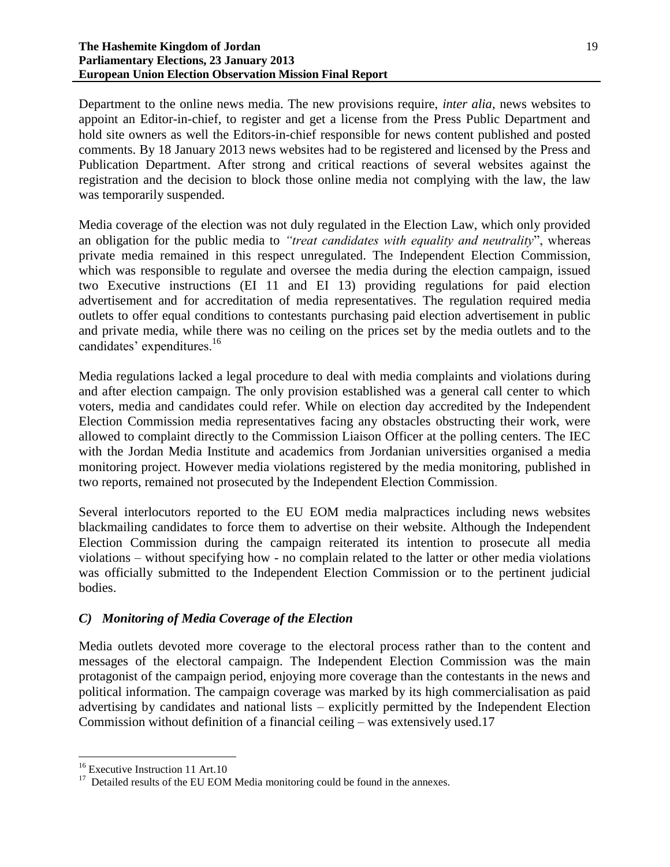#### **The Hashemite Kingdom of Jordan Parliamentary Elections, 23 January 2013 European Union Election Observation Mission Final Report**

Publication Department. After strong and critical reactions of several websites against the registration and the decision to block those online media not complying with the law, the law was temporarily suspended.

Media coverage of the election was not duly regulated in the Election Law, which only provided an obligation for the public media to *"treat candidates with equality and neutrality*", whereas private media remained in this respect unregulated. The Independent Election Commission, which was responsible to regulate and oversee the media during the election campaign, issued two Executive instructions (EI 11 and EI 13) providing regulations for paid election advertisement and for accreditation of media representatives. The regulation required media outlets to offer equal conditions to contestants purchasing paid election advertisement in public and private media, while there was no ceiling on the prices set by the media outlets and to the candidates' expenditures.<sup>16</sup>

Media regulations lacked a legal procedure to deal with media complaints and violations during and after election campaign. The only provision established was a general call center to which voters, media and candidates could refer. While on election day accredited by the Independent Election Commission media representatives facing any obstacles obstructing their work, were allowed to complaint directly to the Commission Liaison Officer at the polling centers. The IEC with the Jordan Media Institute and academics from Jordanian universities organised a media monitoring project. However media violations registered by the media monitoring, published in two reports, remained not prosecuted by the Independent Election Commission.

Several interlocutors reported to the EU EOM media malpractices including news websites blackmailing candidates to force them to advertise on their website. Although the Independent Election Commission during the campaign reiterated its intention to prosecute all media violations – without specifying how - no complain related to the latter or other media violations was officially submitted to the Independent Election Commission or to the pertinent judicial bodies.

# *C) Monitoring of Media Coverage of the Election*

Media outlets devoted more coverage to the electoral process rather than to the content and messages of the electoral campaign. The Independent Election Commission was the main protagonist of the campaign period, enjoying more coverage than the contestants in the news and political information. The campaign coverage was marked by its high commercialisation as paid advertising by candidates and national lists – explicitly permitted by the Independent Election Commission without definition of a financial ceiling – was extensively used.17

 $\overline{\phantom{a}}$ <sup>16</sup> Executive Instruction 11 Art.10

 $17$  Detailed results of the EU EOM Media monitoring could be found in the annexes.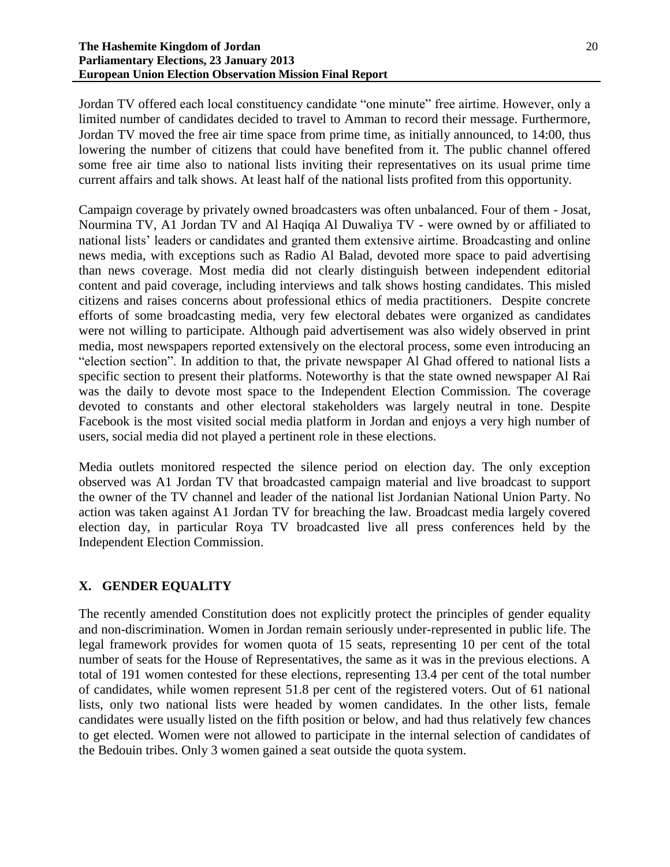Jordan TV offered each local constituency candidate "one minute" free airtime. However, only a limited number of candidates decided to travel to Amman to record their message. Furthermore, Jordan TV moved the free air time space from prime time, as initially announced, to 14:00, thus lowering the number of citizens that could have benefited from it. The public channel offered some free air time also to national lists inviting their representatives on its usual prime time current affairs and talk shows. At least half of the national lists profited from this opportunity.

Campaign coverage by privately owned broadcasters was often unbalanced. Four of them - Josat, Nourmina TV, A1 Jordan TV and Al Haqiqa Al Duwaliya TV - were owned by or affiliated to national lists' leaders or candidates and granted them extensive airtime. Broadcasting and online news media, with exceptions such as Radio Al Balad, devoted more space to paid advertising than news coverage. Most media did not clearly distinguish between independent editorial content and paid coverage, including interviews and talk shows hosting candidates. This misled citizens and raises concerns about professional ethics of media practitioners. Despite concrete efforts of some broadcasting media, very few electoral debates were organized as candidates were not willing to participate. Although paid advertisement was also widely observed in print media, most newspapers reported extensively on the electoral process, some even introducing an "election section". In addition to that, the private newspaper Al Ghad offered to national lists a specific section to present their platforms. Noteworthy is that the state owned newspaper Al Rai was the daily to devote most space to the Independent Election Commission. The coverage devoted to constants and other electoral stakeholders was largely neutral in tone. Despite Facebook is the most visited social media platform in Jordan and enjoys a very high number of users, social media did not played a pertinent role in these elections.

Media outlets monitored respected the silence period on election day. The only exception observed was A1 Jordan TV that broadcasted campaign material and live broadcast to support the owner of the TV channel and leader of the national list Jordanian National Union Party. No action was taken against A1 Jordan TV for breaching the law. Broadcast media largely covered election day, in particular Roya TV broadcasted live all press conferences held by the Independent Election Commission.

# **X. GENDER EQUALITY**

The recently amended Constitution does not explicitly protect the principles of gender equality and non-discrimination. Women in Jordan remain seriously under-represented in public life. The legal framework provides for women quota of 15 seats, representing 10 per cent of the total number of seats for the House of Representatives, the same as it was in the previous elections. A total of 191 women contested for these elections, representing 13.4 per cent of the total number of candidates, while women represent 51.8 per cent of the registered voters. Out of 61 national lists, only two national lists were headed by women candidates. In the other lists, female candidates were usually listed on the fifth position or below, and had thus relatively few chances to get elected. Women were not allowed to participate in the internal selection of candidates of the Bedouin tribes. Only 3 women gained a seat outside the quota system.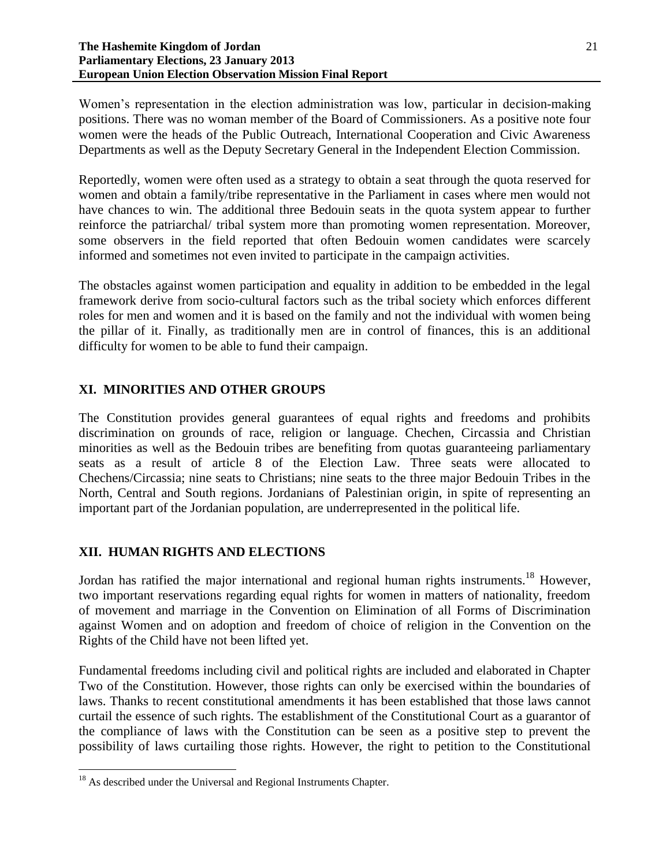Women's representation in the election administration was low, particular in decision-making positions. There was no woman member of the Board of Commissioners. As a positive note four women were the heads of the Public Outreach, International Cooperation and Civic Awareness Departments as well as the Deputy Secretary General in the Independent Election Commission.

Reportedly, women were often used as a strategy to obtain a seat through the quota reserved for women and obtain a family/tribe representative in the Parliament in cases where men would not have chances to win. The additional three Bedouin seats in the quota system appear to further reinforce the patriarchal/ tribal system more than promoting women representation. Moreover, some observers in the field reported that often Bedouin women candidates were scarcely informed and sometimes not even invited to participate in the campaign activities.

The obstacles against women participation and equality in addition to be embedded in the legal framework derive from socio-cultural factors such as the tribal society which enforces different roles for men and women and it is based on the family and not the individual with women being the pillar of it. Finally, as traditionally men are in control of finances, this is an additional difficulty for women to be able to fund their campaign.

# **XI. MINORITIES AND OTHER GROUPS**

The Constitution provides general guarantees of equal rights and freedoms and prohibits discrimination on grounds of race, religion or language. Chechen, Circassia and Christian minorities as well as the Bedouin tribes are benefiting from quotas guaranteeing parliamentary seats as a result of article 8 of the Election Law. Three seats were allocated to Chechens/Circassia; nine seats to Christians; nine seats to the three major Bedouin Tribes in the North, Central and South regions. Jordanians of Palestinian origin, in spite of representing an important part of the Jordanian population, are underrepresented in the political life.

## **XII. HUMAN RIGHTS AND ELECTIONS**

Jordan has ratified the major international and regional human rights instruments.<sup>18</sup> However, two important reservations regarding equal rights for women in matters of nationality, freedom of movement and marriage in the Convention on Elimination of all Forms of Discrimination against Women and on adoption and freedom of choice of religion in the Convention on the Rights of the Child have not been lifted yet.

Fundamental freedoms including civil and political rights are included and elaborated in Chapter Two of the Constitution. However, those rights can only be exercised within the boundaries of laws. Thanks to recent constitutional amendments it has been established that those laws cannot curtail the essence of such rights. The establishment of the Constitutional Court as a guarantor of the compliance of laws with the Constitution can be seen as a positive step to prevent the possibility of laws curtailing those rights. However, the right to petition to the Constitutional

 $\overline{\phantom{a}}$ 

<sup>&</sup>lt;sup>18</sup> As described under the Universal and Regional Instruments Chapter.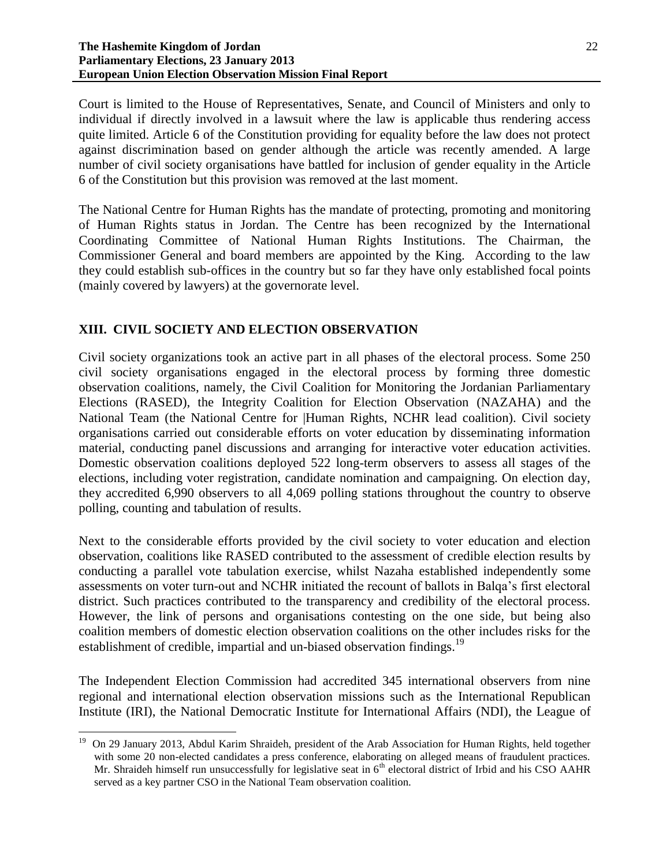Court is limited to the House of Representatives, Senate, and Council of Ministers and only to individual if directly involved in a lawsuit where the law is applicable thus rendering access quite limited. Article 6 of the Constitution providing for equality before the law does not protect against discrimination based on gender although the article was recently amended. A large number of civil society organisations have battled for inclusion of gender equality in the Article 6 of the Constitution but this provision was removed at the last moment.

The National Centre for Human Rights has the mandate of protecting, promoting and monitoring of Human Rights status in Jordan. The Centre has been recognized by the International Coordinating Committee of National Human Rights Institutions. The Chairman, the Commissioner General and board members are appointed by the King. According to the law they could establish sub-offices in the country but so far they have only established focal points (mainly covered by lawyers) at the governorate level.

## **XIII. CIVIL SOCIETY AND ELECTION OBSERVATION**

 $\overline{\phantom{a}}$ 

Civil society organizations took an active part in all phases of the electoral process. Some 250 civil society organisations engaged in the electoral process by forming three domestic observation coalitions, namely, the Civil Coalition for Monitoring the Jordanian Parliamentary Elections (RASED), the Integrity Coalition for Election Observation (NAZAHA) and the National Team (the National Centre for |Human Rights, NCHR lead coalition). Civil society organisations carried out considerable efforts on voter education by disseminating information material, conducting panel discussions and arranging for interactive voter education activities. Domestic observation coalitions deployed 522 long-term observers to assess all stages of the elections, including voter registration, candidate nomination and campaigning. On election day, they accredited 6,990 observers to all 4,069 polling stations throughout the country to observe polling, counting and tabulation of results.

Next to the considerable efforts provided by the civil society to voter education and election observation, coalitions like RASED contributed to the assessment of credible election results by conducting a parallel vote tabulation exercise, whilst Nazaha established independently some assessments on voter turn-out and NCHR initiated the recount of ballots in Balqa's first electoral district. Such practices contributed to the transparency and credibility of the electoral process. However, the link of persons and organisations contesting on the one side, but being also coalition members of domestic election observation coalitions on the other includes risks for the establishment of credible, impartial and un-biased observation findings.<sup>19</sup>

The Independent Election Commission had accredited 345 international observers from nine regional and international election observation missions such as the International Republican Institute (IRI), the National Democratic Institute for International Affairs (NDI), the League of

<sup>&</sup>lt;sup>19</sup> On 29 January 2013, Abdul Karim Shraideh, president of the Arab Association for Human Rights, held together with some 20 non-elected candidates a press conference, elaborating on alleged means of fraudulent practices. Mr. Shraideh himself run unsuccessfully for legislative seat in  $6<sup>th</sup>$  electoral district of Irbid and his CSO AAHR served as a key partner CSO in the National Team observation coalition.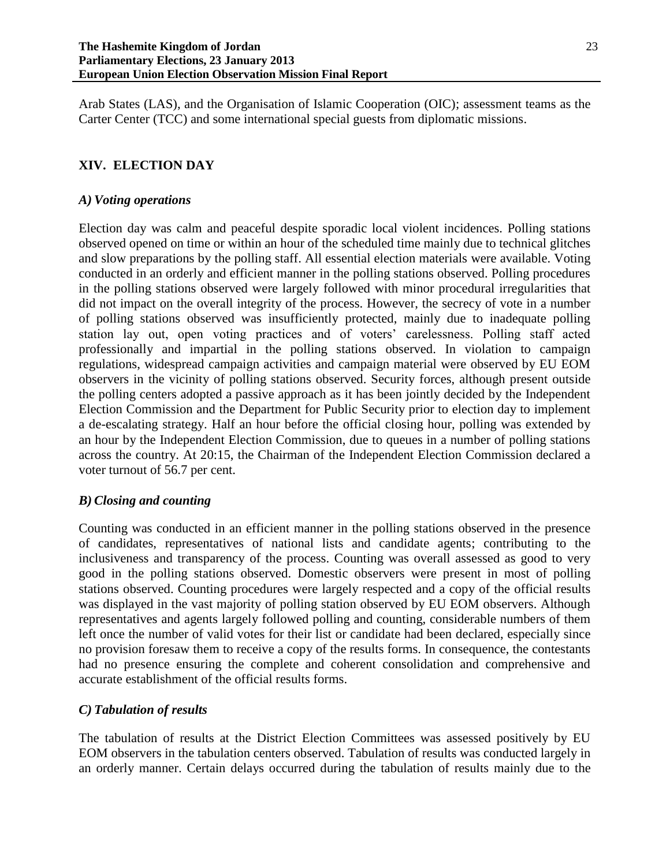Arab States (LAS), and the Organisation of Islamic Cooperation (OIC); assessment teams as the Carter Center (TCC) and some international special guests from diplomatic missions.

# **XIV. ELECTION DAY**

## *A) Voting operations*

Election day was calm and peaceful despite sporadic local violent incidences. Polling stations observed opened on time or within an hour of the scheduled time mainly due to technical glitches and slow preparations by the polling staff. All essential election materials were available. Voting conducted in an orderly and efficient manner in the polling stations observed. Polling procedures in the polling stations observed were largely followed with minor procedural irregularities that did not impact on the overall integrity of the process. However, the secrecy of vote in a number of polling stations observed was insufficiently protected, mainly due to inadequate polling station lay out, open voting practices and of voters' carelessness. Polling staff acted professionally and impartial in the polling stations observed. In violation to campaign regulations, widespread campaign activities and campaign material were observed by EU EOM observers in the vicinity of polling stations observed. Security forces, although present outside the polling centers adopted a passive approach as it has been jointly decided by the Independent Election Commission and the Department for Public Security prior to election day to implement a de-escalating strategy. Half an hour before the official closing hour, polling was extended by an hour by the Independent Election Commission, due to queues in a number of polling stations across the country. At 20:15, the Chairman of the Independent Election Commission declared a voter turnout of 56.7 per cent.

## *B) Closing and counting*

Counting was conducted in an efficient manner in the polling stations observed in the presence of candidates, representatives of national lists and candidate agents; contributing to the inclusiveness and transparency of the process. Counting was overall assessed as good to very good in the polling stations observed. Domestic observers were present in most of polling stations observed. Counting procedures were largely respected and a copy of the official results was displayed in the vast majority of polling station observed by EU EOM observers. Although representatives and agents largely followed polling and counting, considerable numbers of them left once the number of valid votes for their list or candidate had been declared, especially since no provision foresaw them to receive a copy of the results forms. In consequence, the contestants had no presence ensuring the complete and coherent consolidation and comprehensive and accurate establishment of the official results forms.

## *C) Tabulation of results*

The tabulation of results at the District Election Committees was assessed positively by EU EOM observers in the tabulation centers observed. Tabulation of results was conducted largely in an orderly manner. Certain delays occurred during the tabulation of results mainly due to the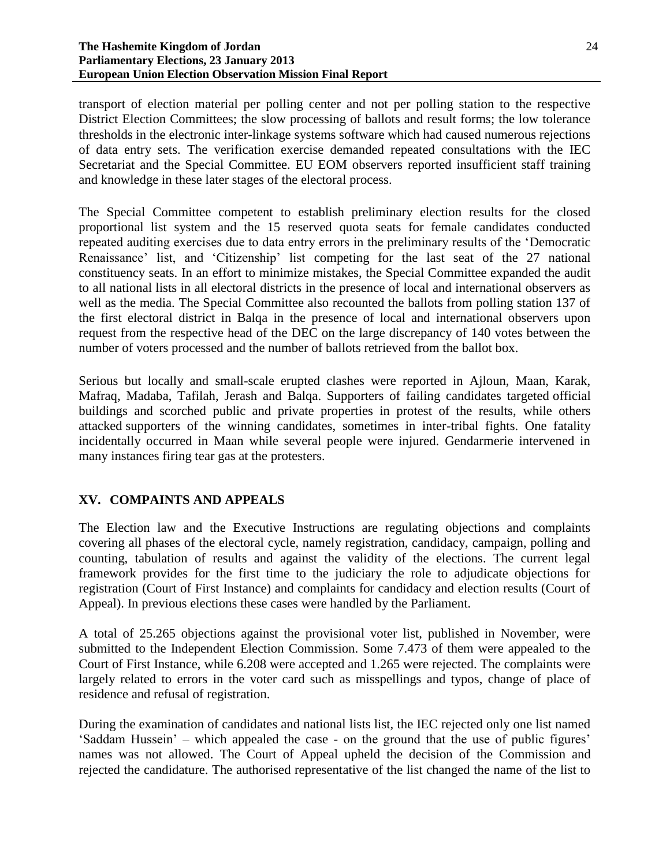#### **The Hashemite Kingdom of Jordan Parliamentary Elections, 23 January 2013 European Union Election Observation Mission Final Report**

transport of election material per polling center and not per polling station to the respective District Election Committees; the slow processing of ballots and result forms; the low tolerance thresholds in the electronic inter-linkage systems software which had caused numerous rejections of data entry sets. The verification exercise demanded repeated consultations with the IEC Secretariat and the Special Committee. EU EOM observers reported insufficient staff training and knowledge in these later stages of the electoral process.

The Special Committee competent to establish preliminary election results for the closed proportional list system and the 15 reserved quota seats for female candidates conducted repeated auditing exercises due to data entry errors in the preliminary results of the 'Democratic Renaissance' list, and 'Citizenship' list competing for the last seat of the 27 national constituency seats. In an effort to minimize mistakes, the Special Committee expanded the audit to all national lists in all electoral districts in the presence of local and international observers as well as the media. The Special Committee also recounted the ballots from polling station 137 of the first electoral district in Balqa in the presence of local and international observers upon request from the respective head of the DEC on the large discrepancy of 140 votes between the number of voters processed and the number of ballots retrieved from the ballot box.

Serious but locally and small-scale erupted clashes were reported in Ajloun, Maan, Karak, Mafraq, Madaba, Tafilah, Jerash and Balqa. Supporters of failing candidates targeted official buildings and scorched public and private properties in protest of the results, while others attacked supporters of the winning candidates, sometimes in inter-tribal fights. One fatality incidentally occurred in Maan while several people were injured. Gendarmerie intervened in many instances firing tear gas at the protesters.

# **XV. COMPAINTS AND APPEALS**

The Election law and the Executive Instructions are regulating objections and complaints covering all phases of the electoral cycle, namely registration, candidacy, campaign, polling and counting, tabulation of results and against the validity of the elections. The current legal framework provides for the first time to the judiciary the role to adjudicate objections for registration (Court of First Instance) and complaints for candidacy and election results (Court of Appeal). In previous elections these cases were handled by the Parliament.

A total of 25.265 objections against the provisional voter list, published in November, were submitted to the Independent Election Commission. Some 7.473 of them were appealed to the Court of First Instance, while 6.208 were accepted and 1.265 were rejected. The complaints were largely related to errors in the voter card such as misspellings and typos, change of place of residence and refusal of registration.

During the examination of candidates and national lists list, the IEC rejected only one list named 'Saddam Hussein' – which appealed the case - on the ground that the use of public figures' names was not allowed. The Court of Appeal upheld the decision of the Commission and rejected the candidature. The authorised representative of the list changed the name of the list to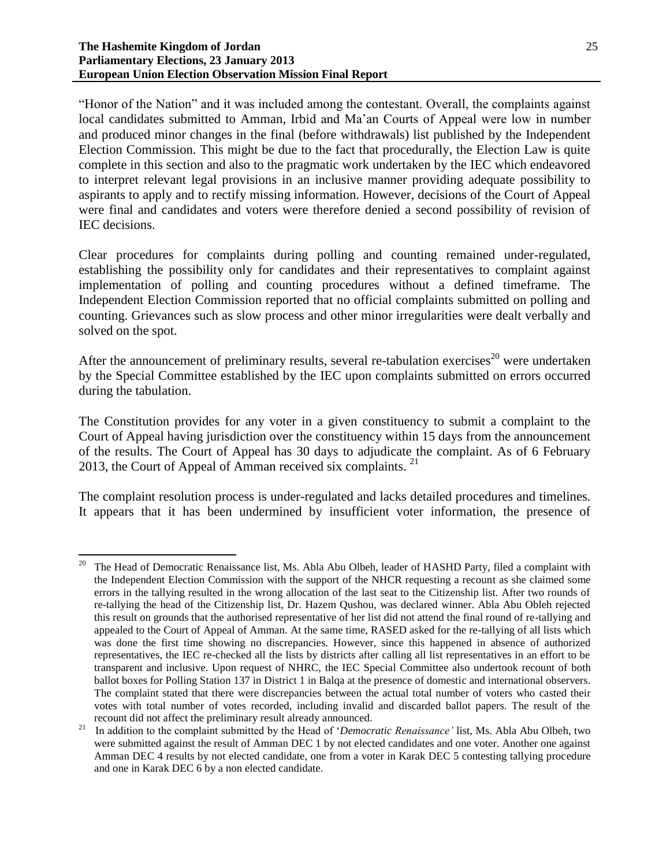"Honor of the Nation" and it was included among the contestant. Overall, the complaints against local candidates submitted to Amman, Irbid and Ma'an Courts of Appeal were low in number and produced minor changes in the final (before withdrawals) list published by the Independent Election Commission. This might be due to the fact that procedurally, the Election Law is quite complete in this section and also to the pragmatic work undertaken by the IEC which endeavored to interpret relevant legal provisions in an inclusive manner providing adequate possibility to aspirants to apply and to rectify missing information. However, decisions of the Court of Appeal were final and candidates and voters were therefore denied a second possibility of revision of IEC decisions.

Clear procedures for complaints during polling and counting remained under-regulated, establishing the possibility only for candidates and their representatives to complaint against implementation of polling and counting procedures without a defined timeframe. The Independent Election Commission reported that no official complaints submitted on polling and counting. Grievances such as slow process and other minor irregularities were dealt verbally and solved on the spot.

After the announcement of preliminary results, several re-tabulation exercises<sup>20</sup> were undertaken by the Special Committee established by the IEC upon complaints submitted on errors occurred during the tabulation.

The Constitution provides for any voter in a given constituency to submit a complaint to the Court of Appeal having jurisdiction over the constituency within 15 days from the announcement of the results. The Court of Appeal has 30 days to adjudicate the complaint. As of 6 February 2013, the Court of Appeal of Amman received six complaints.  $21$ 

The complaint resolution process is under-regulated and lacks detailed procedures and timelines. It appears that it has been undermined by insufficient voter information, the presence of

l 20 The Head of Democratic Renaissance list, Ms. Abla Abu Olbeh, leader of HASHD Party, filed a complaint with the Independent Election Commission with the support of the NHCR requesting a recount as she claimed some errors in the tallying resulted in the wrong allocation of the last seat to the Citizenship list. After two rounds of re-tallying the head of the Citizenship list, Dr. Hazem Qushou, was declared winner. Abla Abu Obleh rejected this result on grounds that the authorised representative of her list did not attend the final round of re-tallying and appealed to the Court of Appeal of Amman. At the same time, RASED asked for the re-tallying of all lists which was done the first time showing no discrepancies. However, since this happened in absence of authorized representatives, the IEC re-checked all the lists by districts after calling all list representatives in an effort to be transparent and inclusive. Upon request of NHRC, the IEC Special Committee also undertook recount of both ballot boxes for Polling Station 137 in District 1 in Balqa at the presence of domestic and international observers. The complaint stated that there were discrepancies between the actual total number of voters who casted their votes with total number of votes recorded, including invalid and discarded ballot papers. The result of the recount did not affect the preliminary result already announced.

<sup>21</sup> In addition to the complaint submitted by the Head of '*Democratic Renaissance'* list, Ms. Abla Abu Olbeh, two were submitted against the result of Amman DEC 1 by not elected candidates and one voter. Another one against Amman DEC 4 results by not elected candidate, one from a voter in Karak DEC 5 contesting tallying procedure and one in Karak DEC 6 by a non elected candidate.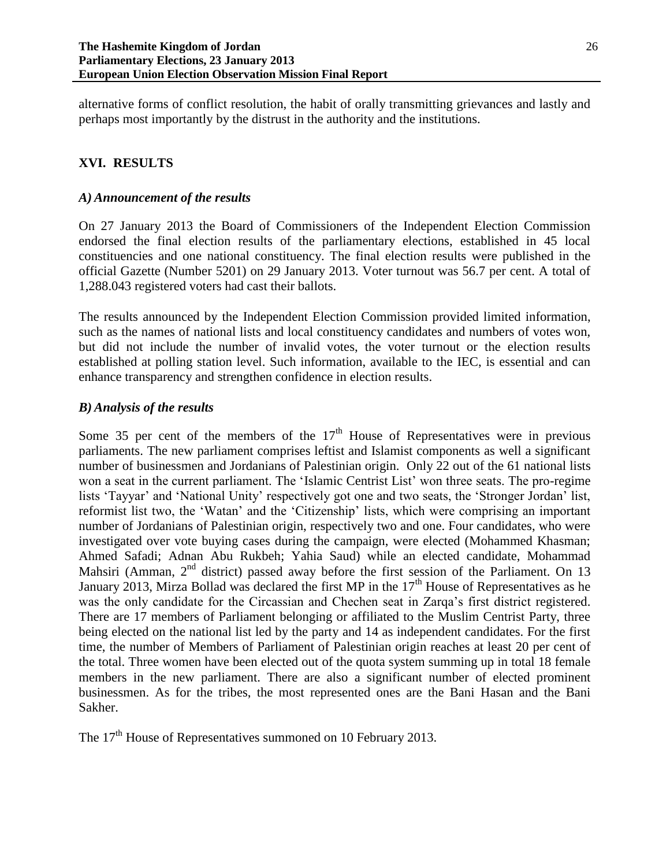alternative forms of conflict resolution, the habit of orally transmitting grievances and lastly and perhaps most importantly by the distrust in the authority and the institutions.

# **XVI. RESULTS**

### *A) Announcement of the results*

On 27 January 2013 the Board of Commissioners of the Independent Election Commission endorsed the final election results of the parliamentary elections, established in 45 local constituencies and one national constituency. The final election results were published in the official Gazette (Number 5201) on 29 January 2013. Voter turnout was 56.7 per cent. A total of 1,288.043 registered voters had cast their ballots.

The results announced by the Independent Election Commission provided limited information, such as the names of national lists and local constituency candidates and numbers of votes won, but did not include the number of invalid votes, the voter turnout or the election results established at polling station level. Such information, available to the IEC, is essential and can enhance transparency and strengthen confidence in election results.

## *B) Analysis of the results*

Some 35 per cent of the members of the  $17<sup>th</sup>$  House of Representatives were in previous parliaments. The new parliament comprises leftist and Islamist components as well a significant number of businessmen and Jordanians of Palestinian origin. Only 22 out of the 61 national lists won a seat in the current parliament. The 'Islamic Centrist List' won three seats. The pro-regime lists 'Tayyar' and 'National Unity' respectively got one and two seats, the 'Stronger Jordan' list, reformist list two, the 'Watan' and the 'Citizenship' lists, which were comprising an important number of Jordanians of Palestinian origin, respectively two and one. Four candidates, who were investigated over vote buying cases during the campaign, were elected (Mohammed Khasman; Ahmed Safadi; Adnan Abu Rukbeh; Yahia Saud) while an elected candidate, Mohammad Mahsiri (Amman,  $2<sup>nd</sup>$  district) passed away before the first session of the Parliament. On 13 January 2013, Mirza Bollad was declared the first MP in the  $17<sup>th</sup>$  House of Representatives as he was the only candidate for the Circassian and Chechen seat in Zarqa's first district registered. There are 17 members of Parliament belonging or affiliated to the Muslim Centrist Party, three being elected on the national list led by the party and 14 as independent candidates. For the first time, the number of Members of Parliament of Palestinian origin reaches at least 20 per cent of the total. Three women have been elected out of the quota system summing up in total 18 female members in the new parliament. There are also a significant number of elected prominent businessmen. As for the tribes, the most represented ones are the Bani Hasan and the Bani Sakher.

The 17<sup>th</sup> House of Representatives summoned on 10 February 2013.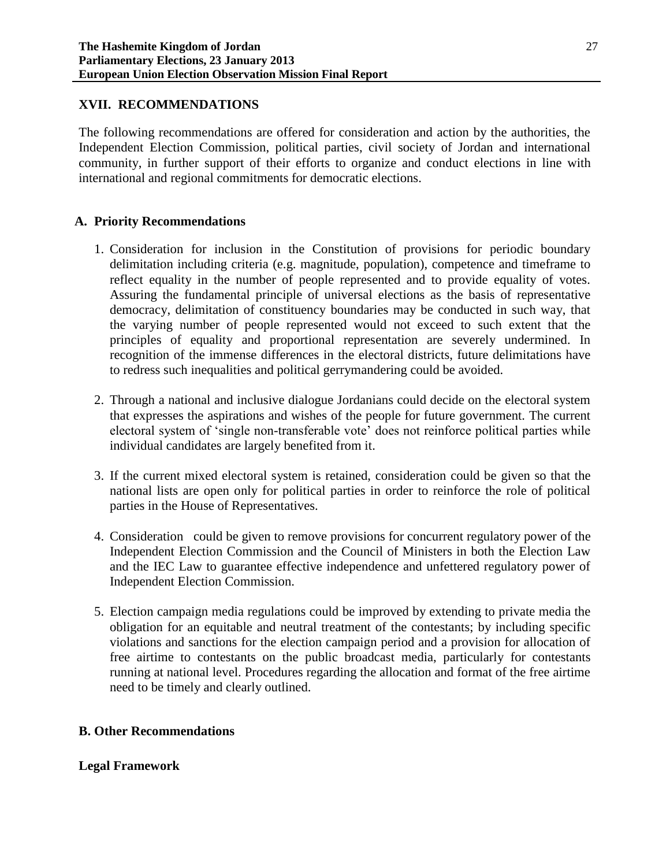### **XVII. RECOMMENDATIONS**

The following recommendations are offered for consideration and action by the authorities, the Independent Election Commission, political parties, civil society of Jordan and international community, in further support of their efforts to organize and conduct elections in line with international and regional commitments for democratic elections.

#### **A. Priority Recommendations**

- 1. Consideration for inclusion in the Constitution of provisions for periodic boundary delimitation including criteria (e.g. magnitude, population), competence and timeframe to reflect equality in the number of people represented and to provide equality of votes. Assuring the fundamental principle of universal elections as the basis of representative democracy, delimitation of constituency boundaries may be conducted in such way, that the varying number of people represented would not exceed to such extent that the principles of equality and proportional representation are severely undermined. In recognition of the immense differences in the electoral districts, future delimitations have to redress such inequalities and political gerrymandering could be avoided.
- 2. Through a national and inclusive dialogue Jordanians could decide on the electoral system that expresses the aspirations and wishes of the people for future government. The current electoral system of 'single non-transferable vote' does not reinforce political parties while individual candidates are largely benefited from it.
- 3. If the current mixed electoral system is retained, consideration could be given so that the national lists are open only for political parties in order to reinforce the role of political parties in the House of Representatives.
- 4. Consideration could be given to remove provisions for concurrent regulatory power of the Independent Election Commission and the Council of Ministers in both the Election Law and the IEC Law to guarantee effective independence and unfettered regulatory power of Independent Election Commission.
- 5. Election campaign media regulations could be improved by extending to private media the obligation for an equitable and neutral treatment of the contestants; by including specific violations and sanctions for the election campaign period and a provision for allocation of free airtime to contestants on the public broadcast media, particularly for contestants running at national level. Procedures regarding the allocation and format of the free airtime need to be timely and clearly outlined.

## **B. Other Recommendations**

#### **Legal Framework**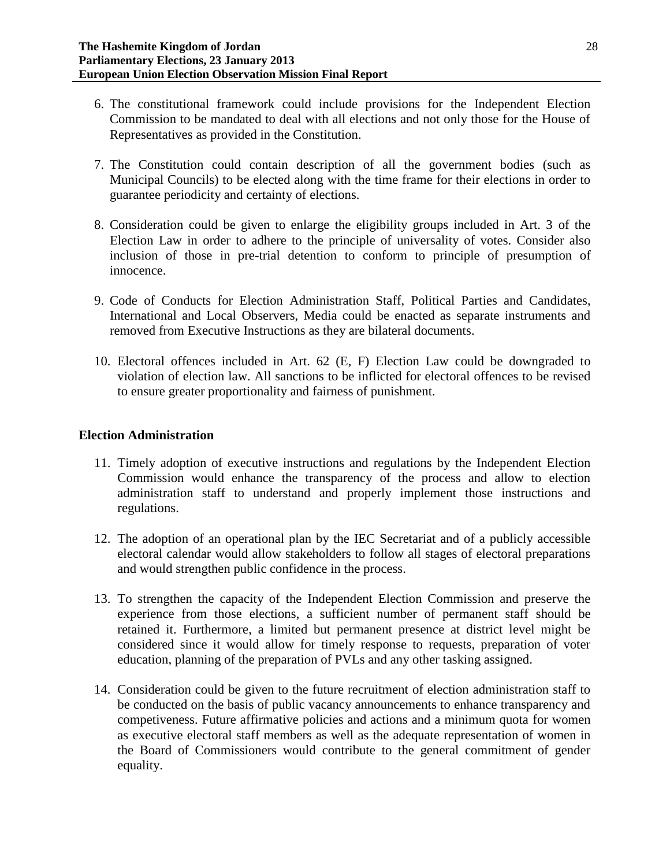- 6. The constitutional framework could include provisions for the Independent Election Commission to be mandated to deal with all elections and not only those for the House of Representatives as provided in the Constitution.
- 7. The Constitution could contain description of all the government bodies (such as Municipal Councils) to be elected along with the time frame for their elections in order to guarantee periodicity and certainty of elections.
- 8. Consideration could be given to enlarge the eligibility groups included in Art. 3 of the Election Law in order to adhere to the principle of universality of votes. Consider also inclusion of those in pre-trial detention to conform to principle of presumption of innocence.
- 9. Code of Conducts for Election Administration Staff, Political Parties and Candidates, International and Local Observers, Media could be enacted as separate instruments and removed from Executive Instructions as they are bilateral documents.
- 10. Electoral offences included in Art. 62 (E, F) Election Law could be downgraded to violation of election law. All sanctions to be inflicted for electoral offences to be revised to ensure greater proportionality and fairness of punishment.

### **Election Administration**

- 11. Timely adoption of executive instructions and regulations by the Independent Election Commission would enhance the transparency of the process and allow to election administration staff to understand and properly implement those instructions and regulations.
- 12. The adoption of an operational plan by the IEC Secretariat and of a publicly accessible electoral calendar would allow stakeholders to follow all stages of electoral preparations and would strengthen public confidence in the process.
- 13. To strengthen the capacity of the Independent Election Commission and preserve the experience from those elections, a sufficient number of permanent staff should be retained it. Furthermore, a limited but permanent presence at district level might be considered since it would allow for timely response to requests, preparation of voter education, planning of the preparation of PVLs and any other tasking assigned.
- 14. Consideration could be given to the future recruitment of election administration staff to be conducted on the basis of public vacancy announcements to enhance transparency and competiveness. Future affirmative policies and actions and a minimum quota for women as executive electoral staff members as well as the adequate representation of women in the Board of Commissioners would contribute to the general commitment of gender equality.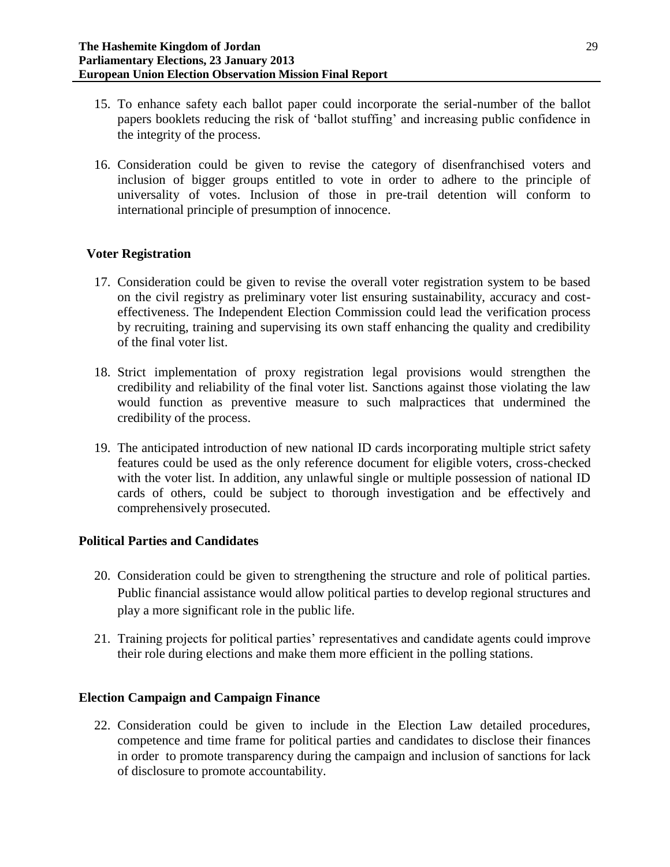- 15. To enhance safety each ballot paper could incorporate the serial-number of the ballot papers booklets reducing the risk of 'ballot stuffing' and increasing public confidence in the integrity of the process.
- 16. Consideration could be given to revise the category of disenfranchised voters and inclusion of bigger groups entitled to vote in order to adhere to the principle of universality of votes. Inclusion of those in pre-trail detention will conform to international principle of presumption of innocence.

# **Voter Registration**

- 17. Consideration could be given to revise the overall voter registration system to be based on the civil registry as preliminary voter list ensuring sustainability, accuracy and costeffectiveness. The Independent Election Commission could lead the verification process by recruiting, training and supervising its own staff enhancing the quality and credibility of the final voter list.
- 18. Strict implementation of proxy registration legal provisions would strengthen the credibility and reliability of the final voter list. Sanctions against those violating the law would function as preventive measure to such malpractices that undermined the credibility of the process.
- 19. The anticipated introduction of new national ID cards incorporating multiple strict safety features could be used as the only reference document for eligible voters, cross-checked with the voter list. In addition, any unlawful single or multiple possession of national ID cards of others, could be subject to thorough investigation and be effectively and comprehensively prosecuted.

# **Political Parties and Candidates**

- 20. Consideration could be given to strengthening the structure and role of political parties. Public financial assistance would allow political parties to develop regional structures and play a more significant role in the public life.
- 21. Training projects for political parties' representatives and candidate agents could improve their role during elections and make them more efficient in the polling stations.

## **Election Campaign and Campaign Finance**

22. Consideration could be given to include in the Election Law detailed procedures, competence and time frame for political parties and candidates to disclose their finances in order to promote transparency during the campaign and inclusion of sanctions for lack of disclosure to promote accountability.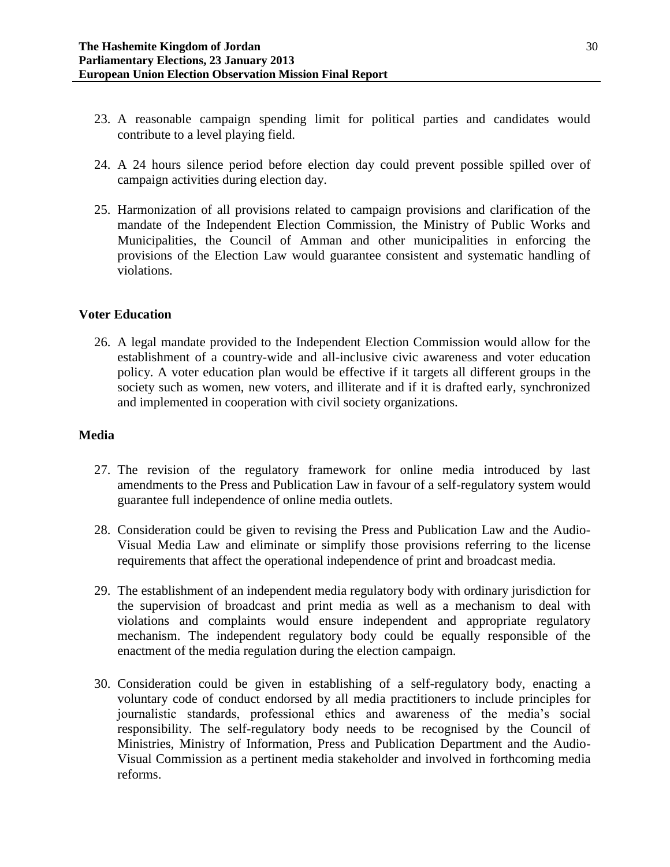- 23. A reasonable campaign spending limit for political parties and candidates would contribute to a level playing field.
- 24. A 24 hours silence period before election day could prevent possible spilled over of campaign activities during election day.
- 25. Harmonization of all provisions related to campaign provisions and clarification of the mandate of the Independent Election Commission, the Ministry of Public Works and Municipalities, the Council of Amman and other municipalities in enforcing the provisions of the Election Law would guarantee consistent and systematic handling of violations.

#### **Voter Education**

26. A legal mandate provided to the Independent Election Commission would allow for the establishment of a country-wide and all-inclusive civic awareness and voter education policy. A voter education plan would be effective if it targets all different groups in the society such as women, new voters, and illiterate and if it is drafted early, synchronized and implemented in cooperation with civil society organizations.

#### **Media**

- 27. The revision of the regulatory framework for online media introduced by last amendments to the Press and Publication Law in favour of a self-regulatory system would guarantee full independence of online media outlets.
- 28. Consideration could be given to revising the Press and Publication Law and the Audio-Visual Media Law and eliminate or simplify those provisions referring to the license requirements that affect the operational independence of print and broadcast media.
- 29. The establishment of an independent media regulatory body with ordinary jurisdiction for the supervision of broadcast and print media as well as a mechanism to deal with violations and complaints would ensure independent and appropriate regulatory mechanism. The independent regulatory body could be equally responsible of the enactment of the media regulation during the election campaign.
- 30. Consideration could be given in establishing of a self-regulatory body, enacting a voluntary code of conduct endorsed by all media practitioners to include principles for journalistic standards, professional ethics and awareness of the media's social responsibility. The self-regulatory body needs to be recognised by the Council of Ministries, Ministry of Information, Press and Publication Department and the Audio-Visual Commission as a pertinent media stakeholder and involved in forthcoming media reforms.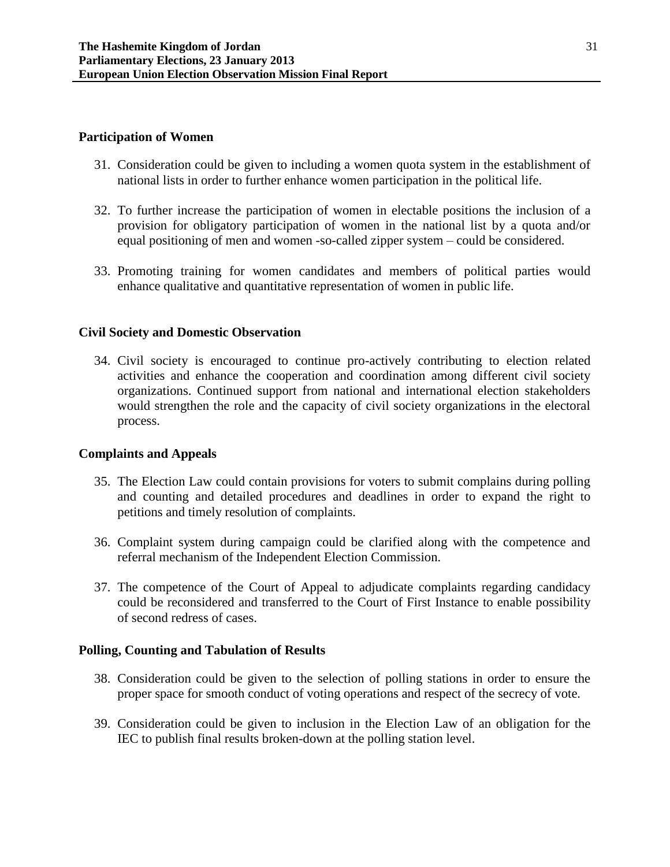#### **Participation of Women**

- 31. Consideration could be given to including a women quota system in the establishment of national lists in order to further enhance women participation in the political life.
- 32. To further increase the participation of women in electable positions the inclusion of a provision for obligatory participation of women in the national list by a quota and/or equal positioning of men and women -so-called zipper system – could be considered.
- 33. Promoting training for women candidates and members of political parties would enhance qualitative and quantitative representation of women in public life.

#### **Civil Society and Domestic Observation**

34. Civil society is encouraged to continue pro-actively contributing to election related activities and enhance the cooperation and coordination among different civil society organizations. Continued support from national and international election stakeholders would strengthen the role and the capacity of civil society organizations in the electoral process.

#### **Complaints and Appeals**

- 35. The Election Law could contain provisions for voters to submit complains during polling and counting and detailed procedures and deadlines in order to expand the right to petitions and timely resolution of complaints.
- 36. Complaint system during campaign could be clarified along with the competence and referral mechanism of the Independent Election Commission.
- 37. The competence of the Court of Appeal to adjudicate complaints regarding candidacy could be reconsidered and transferred to the Court of First Instance to enable possibility of second redress of cases.

#### **Polling, Counting and Tabulation of Results**

- 38. Consideration could be given to the selection of polling stations in order to ensure the proper space for smooth conduct of voting operations and respect of the secrecy of vote.
- 39. Consideration could be given to inclusion in the Election Law of an obligation for the IEC to publish final results broken-down at the polling station level.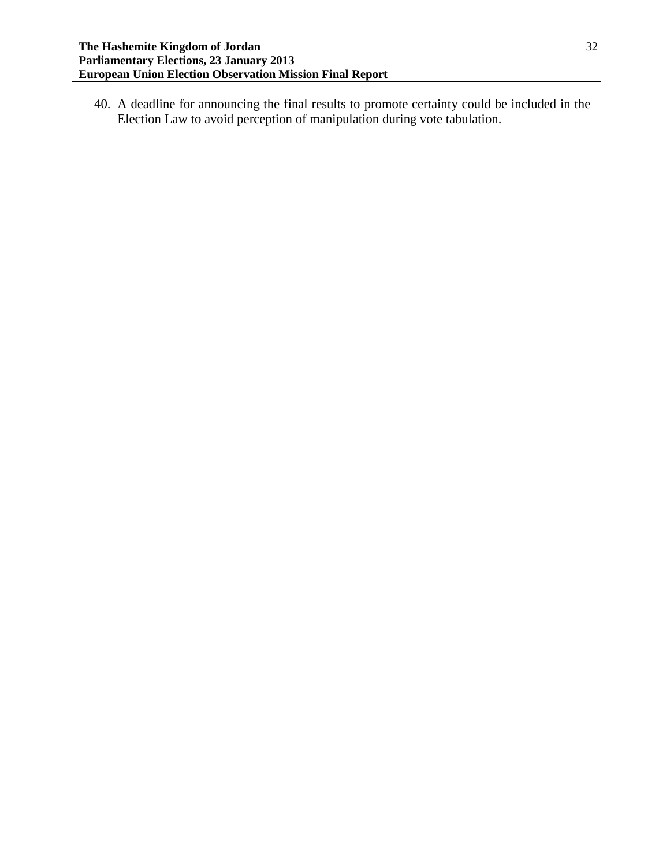40. A deadline for announcing the final results to promote certainty could be included in the Election Law to avoid perception of manipulation during vote tabulation.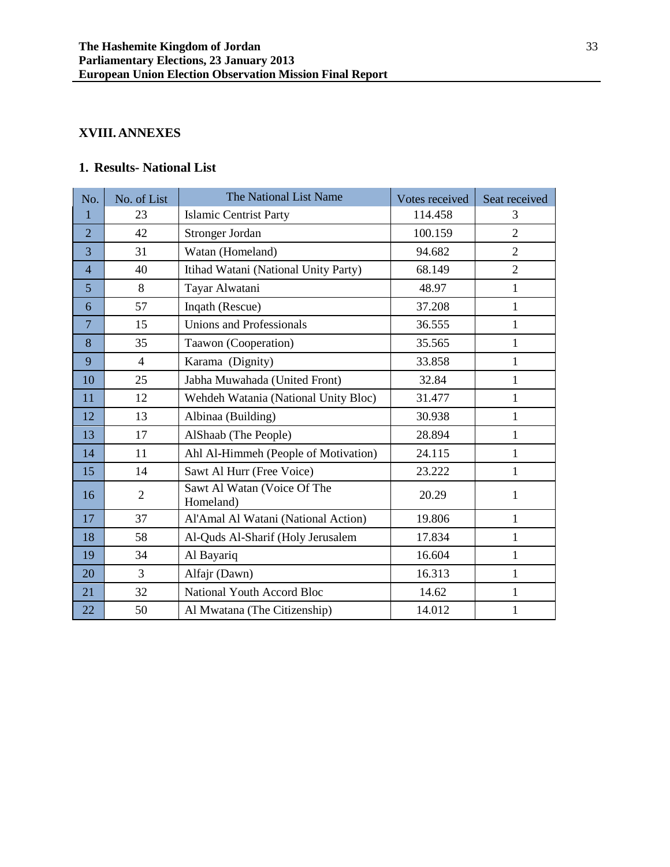# **XVIII.ANNEXES**

# **1. Results- National List**

| No.            | No. of List    | The National List Name                   | Votes received | Seat received  |
|----------------|----------------|------------------------------------------|----------------|----------------|
| $\mathbf{1}$   | 23             | <b>Islamic Centrist Party</b>            | 114.458        | 3              |
| $\overline{2}$ | 42             | Stronger Jordan                          | 100.159        | $\overline{2}$ |
| 3              | 31             | Watan (Homeland)                         | 94.682         | $\overline{2}$ |
| $\overline{4}$ | 40             | Itihad Watani (National Unity Party)     | 68.149         | $\overline{2}$ |
| 5              | 8              | Tayar Alwatani                           | 48.97          | $\mathbf{1}$   |
| 6              | 57             | Inqath (Rescue)                          | 37.208         | 1              |
| $\overline{7}$ | 15             | <b>Unions and Professionals</b>          | 36.555         | $\mathbf{1}$   |
| 8              | 35             | Taawon (Cooperation)                     | 35.565         | 1              |
| 9              | 4              | Karama (Dignity)                         | 33.858         | 1              |
| 10             | 25             | Jabha Muwahada (United Front)            | 32.84          | 1              |
| 11             | 12             | Wehdeh Watania (National Unity Bloc)     | 31.477         | 1              |
| 12             | 13             | Albinaa (Building)                       | 30.938         | $\mathbf{1}$   |
| 13             | 17             | AlShaab (The People)                     | 28.894         | $\mathbf{1}$   |
| 14             | 11             | Ahl Al-Himmeh (People of Motivation)     | 24.115         | 1              |
| 15             | 14             | Sawt Al Hurr (Free Voice)                | 23.222         | 1              |
| 16             | $\overline{2}$ | Sawt Al Watan (Voice Of The<br>Homeland) | 20.29          | 1              |
| 17             | 37             | Al'Amal Al Watani (National Action)      | 19.806         | 1              |
| 18             | 58             | Al-Quds Al-Sharif (Holy Jerusalem        | 17.834         | $\mathbf{1}$   |
| 19             | 34             | Al Bayariq                               | 16.604         | $\mathbf{1}$   |
| 20             | 3              | Alfajr (Dawn)                            | 16.313         | 1              |
| 21             | 32             | National Youth Accord Bloc               | 14.62          | $\mathbf{1}$   |
| 22             | 50             | Al Mwatana (The Citizenship)             | 14.012         | $\mathbf{1}$   |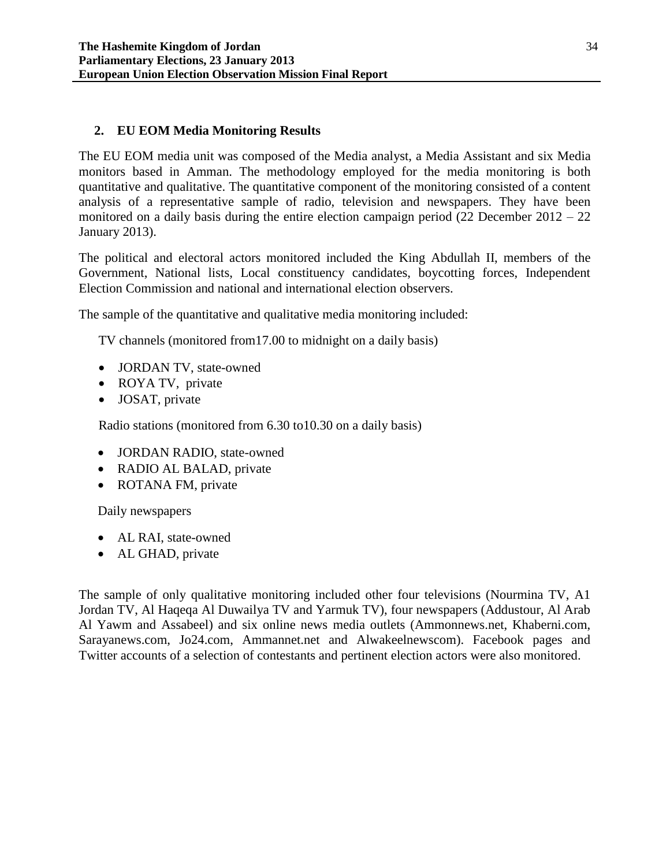# **2. EU EOM Media Monitoring Results**

The EU EOM media unit was composed of the Media analyst, a Media Assistant and six Media monitors based in Amman. The methodology employed for the media monitoring is both quantitative and qualitative. The quantitative component of the monitoring consisted of a content analysis of a representative sample of radio, television and newspapers. They have been monitored on a daily basis during the entire election campaign period (22 December 2012 – 22 January 2013).

The political and electoral actors monitored included the King Abdullah II, members of the Government, National lists, Local constituency candidates, boycotting forces, Independent Election Commission and national and international election observers.

The sample of the quantitative and qualitative media monitoring included:

TV channels (monitored from17.00 to midnight on a daily basis)

- JORDAN TV, state-owned
- ROYA TV, private
- JOSAT, private

Radio stations (monitored from 6.30 to10.30 on a daily basis)

- JORDAN RADIO, state-owned
- RADIO AL BALAD, private
- ROTANA FM, private

Daily newspapers

- AL RAI, state-owned
- AL GHAD, private

The sample of only qualitative monitoring included other four televisions (Nourmina TV, A1 Jordan TV, Al Haqeqa Al Duwailya TV and Yarmuk TV), four newspapers (Addustour, Al Arab Al Yawm and Assabeel) and six online news media outlets (Ammonnews.net, Khaberni.com, Sarayanews.com, Jo24.com, Ammannet.net and Alwakeelnewscom). Facebook pages and Twitter accounts of a selection of contestants and pertinent election actors were also monitored.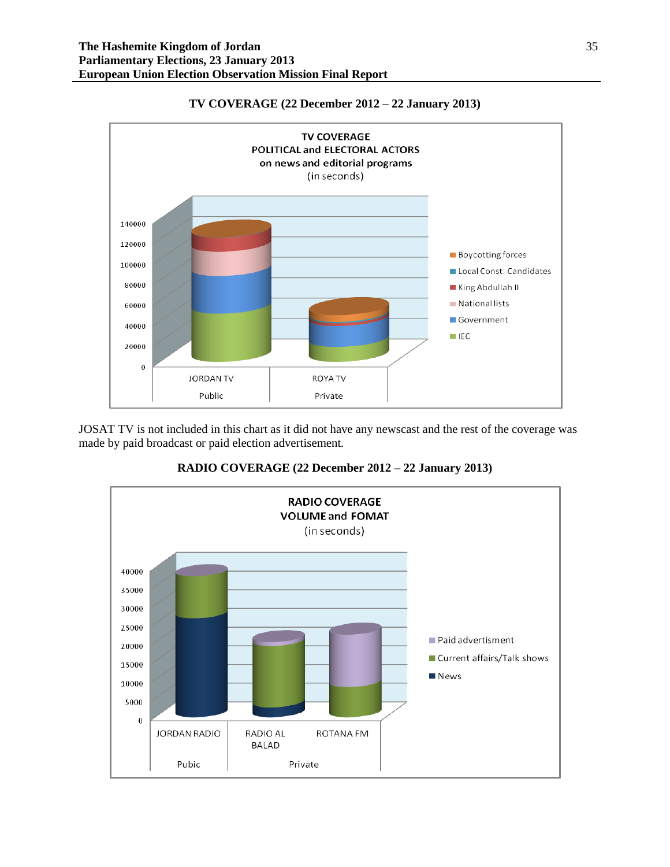

#### **TV COVERAGE (22 December 2012 – 22 January 2013)**

JOSAT TV is not included in this chart as it did not have any newscast and the rest of the coverage was made by paid broadcast or paid election advertisement.



**RADIO COVERAGE (22 December 2012 – 22 January 2013)**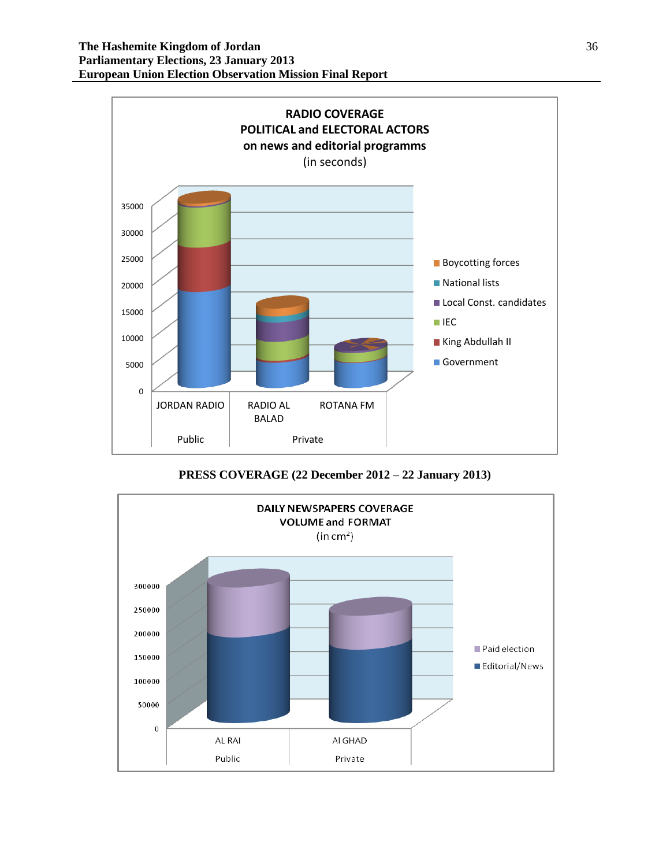

**PRESS COVERAGE (22 December 2012 – 22 January 2013)**

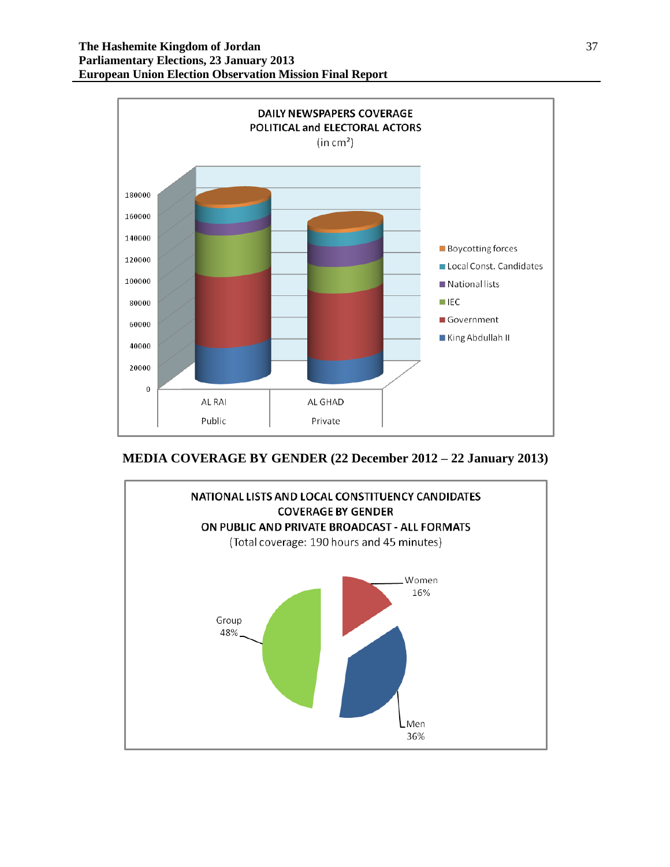

**MEDIA COVERAGE BY GENDER (22 December 2012 – 22 January 2013)**